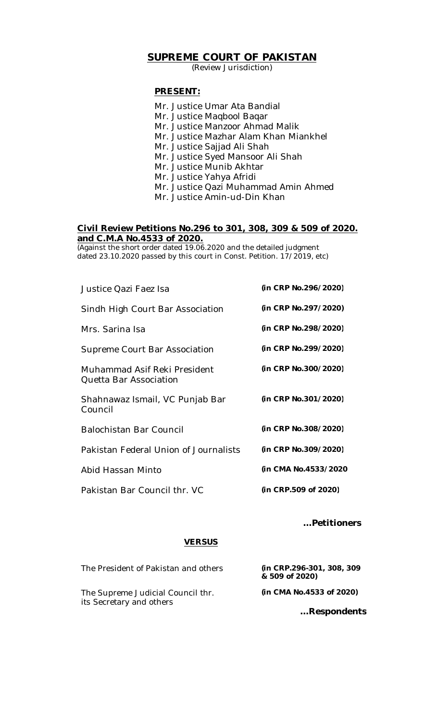## **SUPREME COURT OF PAKISTAN**

(Review Jurisdiction)

#### **PRESENT:**

Mr. Justice Umar Ata Bandial Mr. Justice Maqbool Baqar Mr. Justice Manzoor Ahmad Malik Mr. Justice Mazhar Alam Khan Miankhel Mr. Justice Sajjad Ali Shah Mr. Justice Syed Mansoor Ali Shah Mr. Justice Munib Akhtar Mr. Justice Yahya Afridi Mr. Justice Qazi Muhammad Amin Ahmed Mr. Justice Amin-ud-Din Khan

#### **Civil Review Petitions No.296 to 301, 308, 309 & 509 of 2020. and C.M.A No.4533 of 2020.**

(Against the short order dated 19.06.2020 and the detailed judgment dated 23.10.2020 passed by this court in Const. Petition. 17/2019, etc)

| Justice Qazi Faez Isa                                  | (in CRP No.296/2020) |
|--------------------------------------------------------|----------------------|
| Sindh High Court Bar Association                       | (in CRP No.297/2020) |
| Mrs. Sarina Isa                                        | (in CRP No.298/2020) |
| Supreme Court Bar Association                          | (in CRP No.299/2020) |
| Muhammad Asif Reki President<br>Quetta Bar Association | (in CRP No.300/2020) |
| Shahnawaz Ismail, VC Punjab Bar<br>Council             | (in CRP No.301/2020) |
| <b>Balochistan Bar Council</b>                         | (in CRP No.308/2020) |
| Pakistan Federal Union of Journalists                  | (in CRP No.309/2020) |
| Abid Hassan Minto                                      | (in CMA No.4533/2020 |
| Pakistan Bar Council thr. VC                           | (in CRP.509 of 2020) |
|                                                        |                      |

### **…Petitioners**

### **VERSUS**

| The President of Pakistan and others                          | (in CRP.296-301, 308, 309<br>& 509 of 2020) |
|---------------------------------------------------------------|---------------------------------------------|
| The Supreme Judicial Council thr.<br>its Secretary and others | (in CMA No.4533 of 2020)                    |
|                                                               | Respondents                                 |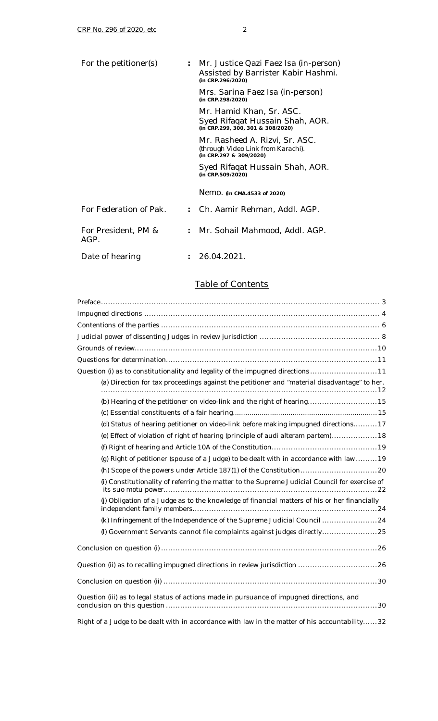|                      | : Mr. Justice Qazi Faez Isa (in-person)<br>Assisted by Barrister Kabir Hashmi.<br>(in CRP.296/2020) |
|----------------------|-----------------------------------------------------------------------------------------------------|
|                      | Mrs. Sarina Faez Isa (in-person)<br>(in CRP.298/2020)                                               |
|                      | Mr. Hamid Khan, Sr. ASC.<br>Syed Rifaqat Hussain Shah, AOR.<br>(in CRP.299, 300, 301 & 308/2020)    |
|                      | Mr. Rasheed A. Rizvi, Sr. ASC.<br>(through Video Link from Karachi).<br>(in CRP.297 & 309/2020)     |
|                      | Syed Rifaqat Hussain Shah, AOR.<br>(in CRP.509/2020)                                                |
|                      | Nemo. (in CMA.4533 of 2020)                                                                         |
|                      | Ch. Aamir Rehman, Addl. AGP.                                                                        |
| $\ddot{\phantom{a}}$ | Mr. Sohail Mahmood, Addl. AGP.                                                                      |
|                      | - 26.04.2021.                                                                                       |
|                      |                                                                                                     |

## Table of Contents

| Question (i) as to constitutionality and legality of the impugned directions11                 |
|------------------------------------------------------------------------------------------------|
| (a) Direction for tax proceedings against the petitioner and "material disadvantage" to her.   |
| (b) Hearing of the petitioner on video-link and the right of hearing15                         |
|                                                                                                |
| (d) Status of hearing petitioner on video-link before making impugned directions17             |
| (e) Effect of violation of right of hearing (principle of audi alteram partem)18               |
|                                                                                                |
| (g) Right of petitioner (spouse of a Judge) to be dealt with in accordance with law 19         |
|                                                                                                |
| (i) Constitutionality of referring the matter to the Supreme Judicial Council for exercise of  |
| (j) Obligation of a Judge as to the knowledge of financial matters of his or her financially   |
| (k) Infringement of the Independence of the Supreme Judicial Council 24                        |
| (I) Government Servants cannot file complaints against judges directly25                       |
|                                                                                                |
| Question (ii) as to recalling impugned directions in review jurisdiction 26                    |
|                                                                                                |
| Question (iii) as to legal status of actions made in pursuance of impugned directions, and     |
| Right of a Judge to be dealt with in accordance with law in the matter of his accountability32 |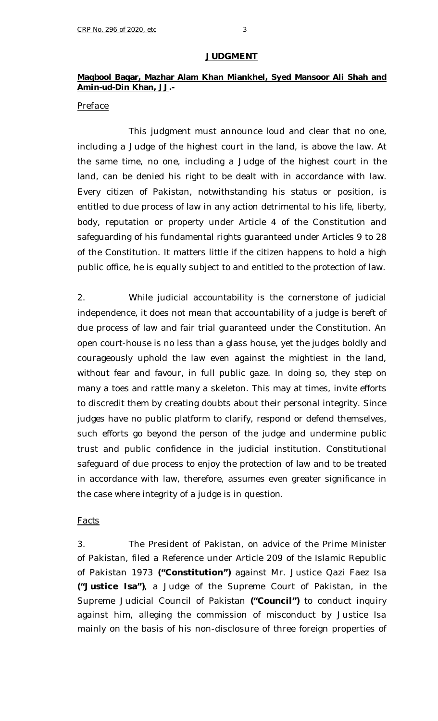#### **JUDGMENT**

## **Maqbool Baqar, Mazhar Alam Khan Miankhel, Syed Mansoor Ali Shah and Amin-ud-Din Khan, JJ.-**

### *Preface*

This judgment must announce loud and clear that no one, including a Judge of the highest court in the land, is above the law. At the same time, no one, including a Judge of the highest court in the land, can be denied his right to be dealt with in accordance with law. Every citizen of Pakistan, notwithstanding his status or position, is entitled to due process of law in any action detrimental to his life, liberty, body, reputation or property under Article 4 of the Constitution and safeguarding of his fundamental rights guaranteed under Articles 9 to 28 of the Constitution. It matters little if the citizen happens to hold a high public office, he is equally subject to and entitled to the protection of law.

2. While judicial accountability is the cornerstone of judicial independence, it does not mean that accountability of a judge is bereft of due process of law and fair trial guaranteed under the Constitution. An open court-house is no less than a glass house, yet the judges boldly and courageously uphold the law even against the mightiest in the land, without fear and favour, in full public gaze. In doing so, they step on many a toes and rattle many a skeleton. This may at times, invite efforts to discredit them by creating doubts about their personal integrity. Since judges have no public platform to clarify, respond or defend themselves, such efforts go beyond the person of the judge and undermine public trust and public confidence in the judicial institution. Constitutional safeguard of due process to enjoy the protection of law and to be treated in accordance with law, therefore, assumes even greater significance in the case where integrity of a judge is in question.

#### *Facts*

3. The President of Pakistan, on advice of the Prime Minister of Pakistan, filed a Reference under Article 209 of the Islamic Republic of Pakistan 1973 **("Constitution")** against Mr. Justice Qazi Faez Isa **("Justice Isa")**, a Judge of the Supreme Court of Pakistan, in the Supreme Judicial Council of Pakistan **("Council")** to conduct inquiry against him, alleging the commission of misconduct by Justice Isa mainly on the basis of his non-disclosure of three foreign properties of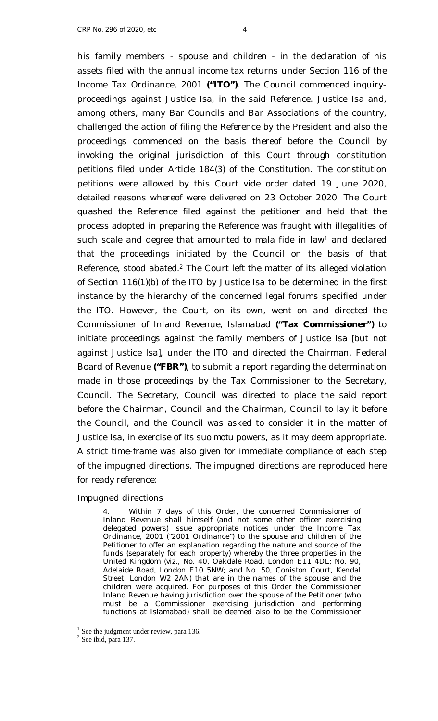his family members - spouse and children - in the declaration of his assets filed with the annual income tax returns under Section 116 of the Income Tax Ordinance, 2001 **("ITO")**. The Council commenced inquiryproceedings against Justice Isa, in the said Reference. Justice Isa and, among others, many Bar Councils and Bar Associations of the country, challenged the action of filing the Reference by the President and also the proceedings commenced on the basis thereof before the Council by invoking the original jurisdiction of this Court through constitution petitions filed under Article 184(3) of the Constitution. The constitution petitions were allowed by this Court *vide* order dated 19 June 2020, detailed reasons whereof were delivered on 23 October 2020. The Court quashed the Reference filed against the petitioner and held that the process adopted in preparing the Reference was fraught with illegalities of such scale and degree that amounted to *mala fide* in law<sup>1</sup> and declared that the proceedings initiated by the Council on the basis of that Reference, stood abated.<sup>2</sup> The Court left the matter of its alleged violation of Section 116(1)(b) of the ITO by Justice Isa to be determined in the first instance by the hierarchy of the concerned legal forums specified under the ITO. However, the Court, on its own, went on and directed the Commissioner of Inland Revenue, Islamabad **("Tax Commissioner")** to initiate proceedings against the family members of Justice Isa [but not against Justice Isa], under the ITO and directed the Chairman, Federal Board of Revenue **("FBR")**, to submit a report regarding the determination made in those proceedings by the Tax Commissioner to the Secretary, Council. The Secretary, Council was directed to place the said report before the Chairman, Council and the Chairman, Council to lay it before the Council, and the Council was asked to consider it in the matter of Justice Isa, in exercise of its *suo motu* powers, as it may deem appropriate. A strict time-frame was also given for immediate compliance of each step of the impugned directions. The impugned directions are reproduced here for ready reference:

#### *Impugned directions*

4. Within 7 days of this Order, the concerned Commissioner of Inland Revenue shall himself (and not some other officer exercising delegated powers) issue appropriate notices under the Income Tax Ordinance, 2001 ("2001 Ordinance") to the spouse and children of the Petitioner to offer an explanation regarding the nature and source of the funds (separately for each property) whereby the three properties in the United Kingdom (viz., No. 40, Oakdale Road, London E11 4DL; No. 90, Adelaide Road, London E10 5NW; and No. 50, Coniston Court, Kendal Street, London W2 2AN) that are in the names of the spouse and the children were acquired. For purposes of this Order the Commissioner Inland Revenue having jurisdiction over the spouse of the Petitioner (who must be a Commissioner exercising jurisdiction and performing functions at Islamabad) shall be deemed also to be the Commissioner

 $\frac{1}{1}$  See the judgment under review, para 136.

<sup>&</sup>lt;sup>2</sup> See ibid, para 137.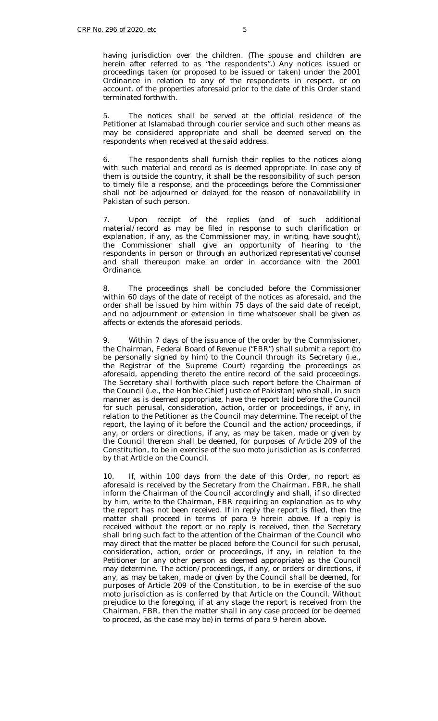having jurisdiction over the children. (The spouse and children are herein after referred to as "the respondents".) Any notices issued or proceedings taken (or proposed to be issued or taken) under the 2001 Ordinance in relation to any of the respondents in respect, or on account, of the properties aforesaid prior to the date of this Order stand terminated forthwith.

The notices shall be served at the official residence of the Petitioner at Islamabad through courier service and such other means as may be considered appropriate and shall be deemed served on the respondents when received at the said address.

6. The respondents shall furnish their replies to the notices along with such material and record as is deemed appropriate. In case any of them is outside the country, it shall be the responsibility of such person to timely file a response, and the proceedings before the Commissioner shall not be adjourned or delayed for the reason of nonavailability in Pakistan of such person.

7. Upon receipt of the replies (and of such additional material/record as may be filed in response to such clarification or explanation, if any, as the Commissioner may, in writing, have sought), the Commissioner shall give an opportunity of hearing to the respondents in person or through an authorized representative/counsel and shall thereupon make an order in accordance with the 2001 Ordinance.

8. The proceedings shall be concluded before the Commissioner within 60 days of the date of receipt of the notices as aforesaid, and the order shall be issued by him within 75 days of the said date of receipt, and no adjournment or extension in time whatsoever shall be given as affects or extends the aforesaid periods.

Within 7 days of the issuance of the order by the Commissioner, the Chairman, Federal Board of Revenue ("FBR") shall submit a report (to be personally signed by him) to the Council through its Secretary (i.e., the Registrar of the Supreme Court) regarding the proceedings as aforesaid, appending thereto the entire record of the said proceedings. The Secretary shall forthwith place such report before the Chairman of the Council (i.e., the Hon'ble Chief Justice of Pakistan) who shall, in such manner as is deemed appropriate, have the report laid before the Council for such perusal, consideration, action, order or proceedings, if any, in relation to the Petitioner as the Council may determine. The receipt of the report, the laying of it before the Council and the action/proceedings, if any, or orders or directions, if any, as may be taken, made or given by the Council thereon shall be deemed, for purposes of Article 209 of the Constitution, to be in exercise of the suo moto jurisdiction as is conferred by that Article on the Council.

10. If, within 100 days from the date of this Order, no report as aforesaid is received by the Secretary from the Chairman, FBR, he shall inform the Chairman of the Council accordingly and shall, if so directed by him, write to the Chairman, FBR requiring an explanation as to why the report has not been received. If in reply the report is filed, then the matter shall proceed in terms of para 9 herein above. If a reply is received without the report or no reply is received, then the Secretary shall bring such fact to the attention of the Chairman of the Council who may direct that the matter be placed before the Council for such perusal, consideration, action, order or proceedings, if any, in relation to the Petitioner (or any other person as deemed appropriate) as the Council may determine. The action/proceedings, if any, or orders or directions, if any, as may be taken, made or given by the Council shall be deemed, for purposes of Article 209 of the Constitution, to be in exercise of the suo moto jurisdiction as is conferred by that Article on the Council. Without prejudice to the foregoing, if at any stage the report is received from the Chairman, FBR, then the matter shall in any case proceed (or be deemed to proceed, as the case may be) in terms of para 9 herein above.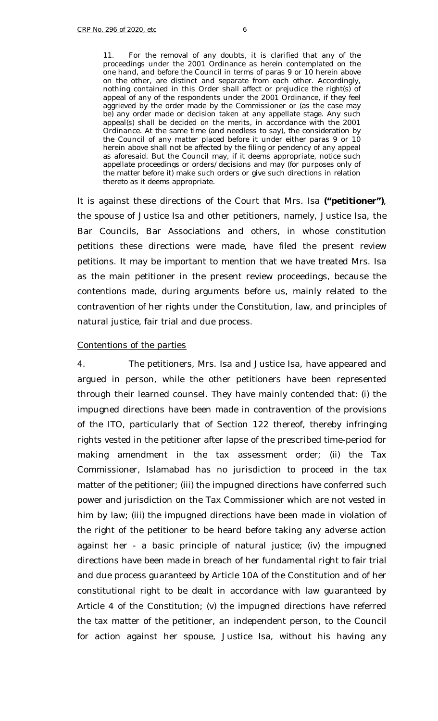11. For the removal of any doubts, it is clarified that any of the proceedings under the 2001 Ordinance as herein contemplated on the one hand, and before the Council in terms of paras 9 or 10 herein above on the other, are distinct and separate from each other. Accordingly, nothing contained in this Order shall affect or prejudice the right(s) of appeal of any of the respondents under the 2001 Ordinance, if they feel aggrieved by the order made by the Commissioner or (as the case may be) any order made or decision taken at any appellate stage. Any such appeal(s) shall be decided on the merits, in accordance with the 2001 Ordinance. At the same time (and needless to say), the consideration by the Council of any matter placed before it under either paras 9 or 10 herein above shall not be affected by the filing or pendency of any appeal as aforesaid. But the Council may, if it deems appropriate, notice such appellate proceedings or orders/decisions and may (for purposes only of the matter before it) make such orders or give such directions in relation thereto as it deems appropriate.

It is against these directions of the Court that Mrs. Isa **("petitioner")**, the spouse of Justice Isa and other petitioners, namely, Justice Isa, the Bar Councils, Bar Associations and others, in whose constitution petitions these directions were made, have filed the present review petitions. It may be important to mention that we have treated Mrs. Isa as the main petitioner in the present review proceedings, because the contentions made, during arguments before us, mainly related to the contravention of her rights under the Constitution, law, and principles of natural justice, fair trial and due process.

#### *Contentions of the parties*

4. The petitioners, Mrs. Isa and Justice Isa, have appeared and argued in person, while the other petitioners have been represented through their learned counsel. They have mainly contended that: (i) the impugned directions have been made in contravention of the provisions of the ITO, particularly that of Section 122 thereof, thereby infringing rights vested in the petitioner after lapse of the prescribed time-period for making amendment in the tax assessment order; (ii) the Tax Commissioner, Islamabad has no jurisdiction to proceed in the tax matter of the petitioner; (iii) the impugned directions have conferred such power and jurisdiction on the Tax Commissioner which are not vested in him by law; (iii) the impugned directions have been made in violation of the right of the petitioner to be heard before taking any adverse action against her - a basic principle of natural justice; (iv) the impugned directions have been made in breach of her fundamental right to fair trial and due process guaranteed by Article 10A of the Constitution and of her constitutional right to be dealt in accordance with law guaranteed by Article 4 of the Constitution; (v) the impugned directions have referred the tax matter of the petitioner, an independent person, to the Council for action against her spouse, Justice Isa, without his having any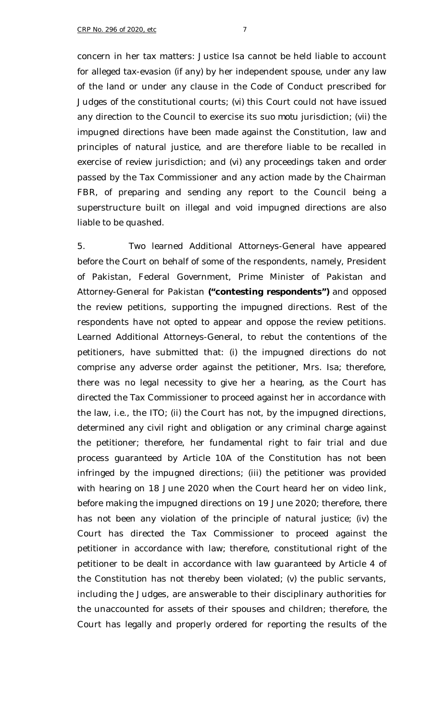concern in her tax matters: Justice Isa cannot be held liable to account for alleged tax-evasion (if any) by her independent spouse, under any law of the land or under any clause in the Code of Conduct prescribed for Judges of the constitutional courts; (vi) this Court could not have issued any direction to the Council to exercise its *suo motu* jurisdiction; (vii) the impugned directions have been made against the Constitution, law and principles of natural justice, and are therefore liable to be recalled in exercise of review jurisdiction; and (vi) any proceedings taken and order passed by the Tax Commissioner and any action made by the Chairman FBR, of preparing and sending any report to the Council being a superstructure built on illegal and void impugned directions are also liable to be quashed.

5. Two learned Additional Attorneys-General have appeared before the Court on behalf of some of the respondents, namely, President of Pakistan, Federal Government, Prime Minister of Pakistan and Attorney-General for Pakistan **("contesting respondents")** and opposed the review petitions, supporting the impugned directions. Rest of the respondents have not opted to appear and oppose the review petitions. Learned Additional Attorneys-General, to rebut the contentions of the petitioners, have submitted that: (i) the impugned directions do not comprise any adverse order against the petitioner, Mrs. Isa; therefore, there was no legal necessity to give her a hearing, as the Court has directed the Tax Commissioner to proceed against her in accordance with the law, i.e., the ITO; (ii) the Court has not, by the impugned directions, determined any civil right and obligation or any criminal charge against the petitioner; therefore, her fundamental right to fair trial and due process guaranteed by Article 10A of the Constitution has not been infringed by the impugned directions; (iii) the petitioner was provided with hearing on 18 June 2020 when the Court heard her on video link, before making the impugned directions on 19 June 2020; therefore, there has not been any violation of the principle of natural justice; (iv) the Court has directed the Tax Commissioner to proceed against the petitioner in accordance with law; therefore, constitutional right of the petitioner to be dealt in accordance with law guaranteed by Article 4 of the Constitution has not thereby been violated; (v) the public servants, including the Judges, are answerable to their disciplinary authorities for the unaccounted for assets of their spouses and children; therefore, the Court has legally and properly ordered for reporting the results of the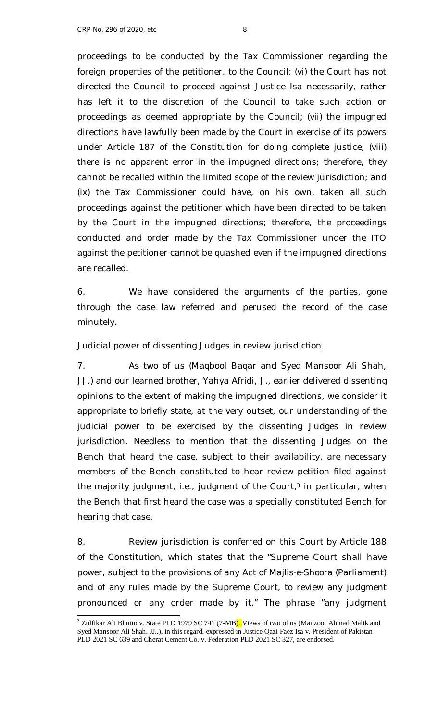proceedings to be conducted by the Tax Commissioner regarding the foreign properties of the petitioner, to the Council; (vi) the Court has not directed the Council to proceed against Justice Isa necessarily, rather has left it to the discretion of the Council to take such action or proceedings as deemed appropriate by the Council; (vii) the impugned directions have lawfully been made by the Court in exercise of its powers under Article 187 of the Constitution for doing complete justice; (viii) there is no apparent error in the impugned directions; therefore, they cannot be recalled within the limited scope of the review jurisdiction; and (ix) the Tax Commissioner could have, on his own, taken all such proceedings against the petitioner which have been directed to be taken by the Court in the impugned directions; therefore, the proceedings conducted and order made by the Tax Commissioner under the ITO against the petitioner cannot be quashed even if the impugned directions are recalled.

6. We have considered the arguments of the parties, gone through the case law referred and perused the record of the case minutely.

## *Judicial power of dissenting Judges in review jurisdiction*

7. As two of us (Magbool Bagar and Syed Mansoor Ali Shah, JJ.) and our learned brother, Yahya Afridi, J., earlier delivered dissenting opinions to the extent of making the impugned directions, we consider it appropriate to briefly state, at the very outset, our understanding of the judicial power to be exercised by the dissenting Judges in review jurisdiction. Needless to mention that the dissenting Judges on the Bench that heard the case, subject to their availability, are necessary members of the Bench constituted to hear review petition filed against the majority judgment, i.e., judgment of the Court, $3$  in particular, when the Bench that first heard the case was a specially constituted Bench for hearing that case.

8. Review jurisdiction is conferred on this Court by Article 188 of the Constitution, which states that the "Supreme Court shall have power, subject to the provisions of any Act of *Majlis-e-Shoora* (Parliament) and of any rules made by the Supreme Court, to review any judgment pronounced or any order made by it." The phrase "any judgment

<sup>&</sup>lt;sup>3</sup> Zulfikar Ali Bhutto v. State PLD 1979 SC 741 (7-MB). Views of two of us (Manzoor Ahmad Malik and Syed Mansoor Ali Shah, JJ.,), in this regard, expressed in Justice Qazi Faez Isa v. President of Pakistan PLD 2021 SC 639 and Cherat Cement Co. v. Federation PLD 2021 SC 327, are endorsed.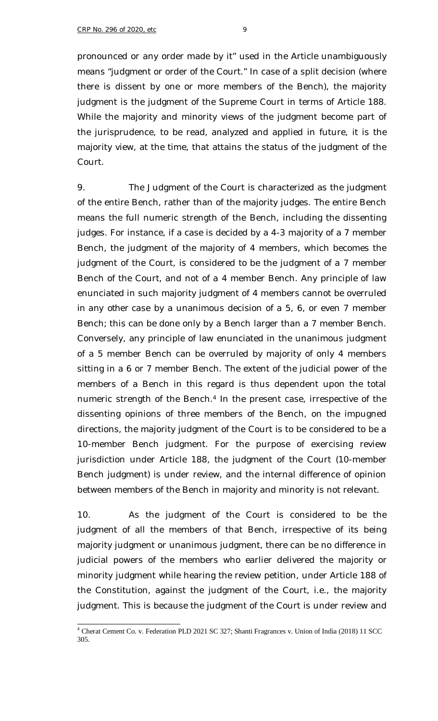pronounced or any order made by it" used in the Article unambiguously means "judgment or order of the Court." In case of a split decision (where there is dissent by one or more members of the Bench), the majority judgment is the judgment of the Supreme Court in terms of Article 188. While the majority and minority views of the judgment become part of the jurisprudence, to be read, analyzed and applied in future, it is the majority view, at the time, that attains the status of the judgment of the Court.

9. The Judgment of the Court is characterized as the judgment of the entire Bench, rather than of the majority judges. The entire Bench means the full numeric strength of the Bench, including the dissenting judges. For instance, if a case is decided by a 4-3 majority of a 7 member Bench, the judgment of the majority of 4 members, which becomes the judgment of the Court, is considered to be the judgment of a 7 member Bench of the Court, and not of a 4 member Bench. Any principle of law enunciated in such majority judgment of 4 members cannot be overruled *in any other case* by a unanimous decision of a 5, 6, or even 7 member Bench; this can be done only by a Bench larger than a 7 member Bench. Conversely, any principle of law enunciated in the unanimous judgment of a 5 member Bench can be overruled by majority of only 4 members sitting in a 6 or 7 member Bench. The extent of the judicial power of the members of a Bench in this regard is thus dependent upon the total numeric strength of the Bench.<sup>4</sup> In the present case, irrespective of the dissenting opinions of three members of the Bench, on the impugned directions, the majority judgment of the Court is to be considered to be a 10-member Bench judgment. For the purpose of exercising review jurisdiction under Article 188, the judgment of the Court (10-member Bench judgment) is under review, and the internal difference of opinion between members of the Bench in majority and minority is not relevant.

10. As the judgment of the Court is considered to be the judgment of all the members of that Bench, irrespective of its being majority judgment or unanimous judgment, there can be no difference in judicial powers of the members who earlier delivered the majority or minority judgment while hearing the review petition, under Article 188 of the Constitution, against the judgment of the Court, i.e., the majority judgment. This is because the judgment of the Court is under review and

ł <sup>4</sup> Cherat Cement Co. v. Federation PLD 2021 SC 327; Shanti Fragrances v. Union of India (2018) 11 SCC 305.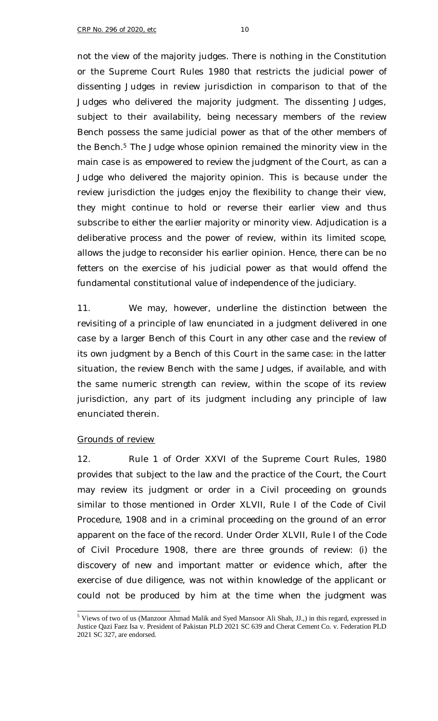not the view of the majority judges. There is nothing in the Constitution or the Supreme Court Rules 1980 that restricts the judicial power of dissenting Judges in review jurisdiction in comparison to that of the Judges who delivered the majority judgment. The dissenting Judges, subject to their availability, being necessary members of the review Bench possess the same judicial power as that of the other members of the Bench.<sup>5</sup> The Judge whose opinion remained the minority view in the main case is as empowered to review the judgment of the Court, as can a Judge who delivered the majority opinion. This is because under the review jurisdiction the judges enjoy the flexibility to change their view, they might continue to hold or reverse their earlier view and thus subscribe to either the earlier majority or minority view. Adjudication is a deliberative process and the power of review, within its limited scope, allows the judge to reconsider his earlier opinion. Hence, there can be no fetters on the exercise of his judicial power as that would offend the fundamental constitutional value of independence of the judiciary.

11. We may, however, underline the distinction between the revisiting of a principle of law enunciated in a judgment delivered *in one case* by a larger Bench of this Court *in any other case* and the review of its own judgment by a Bench of this Court *in the same case*: in the latter situation, the review Bench with the same Judges, if available, and with the same numeric strength can review, within the scope of its review jurisdiction, any part of its judgment including any principle of law enunciated therein.

### *Grounds of review*

ł

12. Rule 1 of Order XXVI of the Supreme Court Rules, 1980 provides that subject to the law and the practice of the Court, the Court may review its judgment or order in a Civil proceeding on grounds similar to those mentioned in Order XLVII, Rule I of the Code of Civil Procedure, 1908 and in a criminal proceeding on the ground of an error apparent on the face of the record. Under Order XLVII, Rule I of the Code of Civil Procedure 1908, there are three grounds of review: (i) the discovery of new and important matter or evidence which, after the exercise of due diligence, was not within knowledge of the applicant or could not be produced by him at the time when the judgment was

<sup>&</sup>lt;sup>5</sup> Views of two of us (Manzoor Ahmad Malik and Syed Mansoor Ali Shah, JJ.,) in this regard, expressed in Justice Qazi Faez Isa v. President of Pakistan PLD 2021 SC 639 and Cherat Cement Co. v. Federation PLD 2021 SC 327, are endorsed.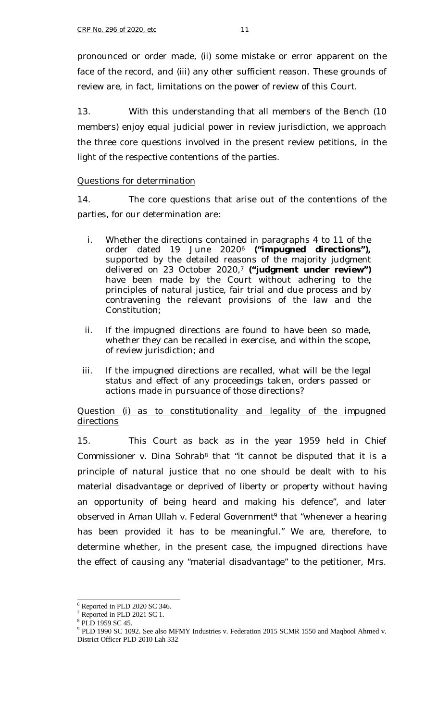pronounced or order made, (ii) some mistake or error apparent on the face of the record, and (iii) any other sufficient reason. These grounds of review are, in fact, limitations on the power of review of this Court.

13. With this understanding that all members of the Bench (10 members) enjoy equal judicial power in review jurisdiction, we approach the three core questions involved in the present review petitions, in the light of the respective contentions of the parties.

### *Questions for determination*

14. The core questions that arise out of the contentions of the parties, for our determination are:

- i. Whether the directions contained in paragraphs 4 to 11 of the order dated 19 June 2020<sup>6</sup> **("impugned directions"),** supported by the detailed reasons of the majority judgment delivered on 23 October 2020,<sup>7</sup> **("judgment under review")** have been made by the Court without adhering to the principles of natural justice, fair trial and due process and by contravening the relevant provisions of the law and the Constitution;
- ii. If the impugned directions are found to have been so made, whether they can be recalled in exercise, and within the scope, of review jurisdiction; and
- iii. If the impugned directions are recalled, what will be the legal status and effect of any proceedings taken, orders passed or actions made in pursuance of those directions?

### *Question (i) as to constitutionality and legality of the impugned directions*

15. This Court as back as in the year 1959 held in *Chief Commissioner v. Dina Sohrab<sup>8</sup>* that "it cannot be disputed that it is a principle of natural justice that no one should be dealt with to his material disadvantage or deprived of liberty or property without having an opportunity of being heard and making his defence", and later observed in *Aman Ullah v. Federal Government<sup>9</sup>* that "whenever a hearing has been provided it has to be meaningful." We are, therefore, to determine whether, in the present case, the impugned directions have the effect of causing any "material disadvantage" to the petitioner, Mrs.

ł  $6$  Reported in PLD 2020 SC 346.

 $7 \text{Reported in PLD} 2021 \text{ SC} 1.$ 

<sup>8</sup> PLD 1959 SC 45.

<sup>&</sup>lt;sup>9</sup> PLD 1990 SC 1092. See also MFMY Industries v. Federation 2015 SCMR 1550 and Maqbool Ahmed v. District Officer PLD 2010 Lah 332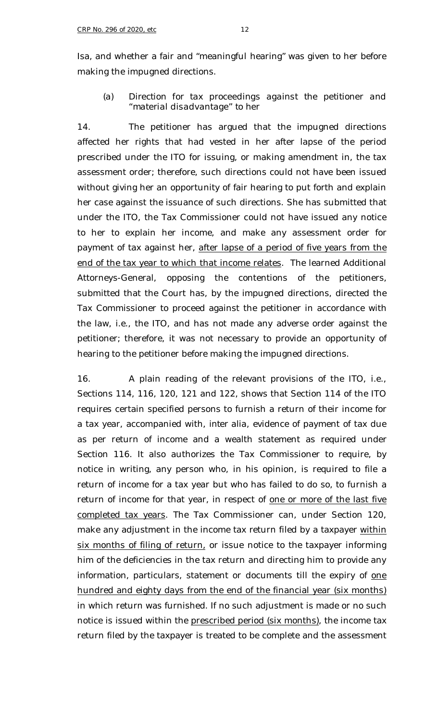Isa, and whether a fair and "meaningful hearing" was given to her before making the impugned directions.

## *(a) Direction for tax proceedings against the petitioner and "material disadvantage" to her*

14. The petitioner has argued that the impugned directions affected her rights that had vested in her after lapse of the period prescribed under the ITO for issuing, or making amendment in, the tax assessment order; therefore, such directions could not have been issued without giving her an opportunity of fair hearing to put forth and explain her case against the issuance of such directions. She has submitted that under the ITO, the Tax Commissioner could not have issued any notice to her to explain her income, and make any assessment order for payment of tax against her, after lapse of a period of five years from the end of the tax year to which that income relates. The learned Additional Attorneys-General, opposing the contentions of the petitioners, submitted that the Court has, by the impugned directions, directed the Tax Commissioner to proceed against the petitioner in accordance with the law, i.e., the ITO, and has not made any adverse order against the petitioner; therefore, it was not necessary to provide an opportunity of hearing to the petitioner before making the impugned directions.

16. A plain reading of the relevant provisions of the ITO, i.e., Sections 114, 116, 120, 121 and 122, shows that Section 114 of the ITO requires certain specified persons to furnish a return of their income for a tax year, accompanied with, *inter alia*, evidence of payment of tax due as per return of income and a wealth statement as required under Section 116. It also authorizes the Tax Commissioner to require, by notice in writing, any person who, in his opinion, is required to file a return of income for a tax year but who has failed to do so, to furnish a return of income for that year, in respect of one or more of the last five completed tax years. The Tax Commissioner can, under Section 120, make any adjustment in the income tax return filed by a taxpayer within six months of filing of return, or issue notice to the taxpayer informing him of the deficiencies in the tax return and directing him to provide any information, particulars, statement or documents till the expiry of one hundred and eighty days from the end of the financial year (six months) in which return was furnished. If no such adjustment is made or no such notice is issued within the prescribed period (six months), the income tax return filed by the taxpayer is treated to be complete and the assessment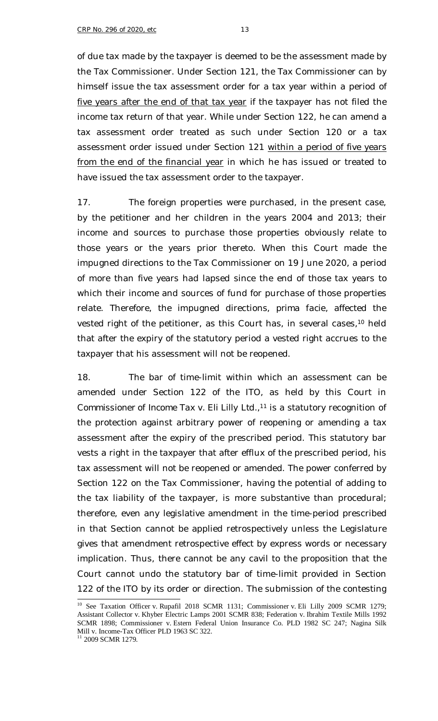of due tax made by the taxpayer is deemed to be the assessment made by the Tax Commissioner. Under Section 121, the Tax Commissioner can by himself issue the tax assessment order for a tax year within a period of five years after the end of that tax year if the taxpayer has not filed the income tax return of that year. While under Section 122, he can amend a tax assessment order treated as such under Section 120 or a tax assessment order issued under Section 121 within a period of five years from the end of the financial year in which he has issued or treated to have issued the tax assessment order to the taxpayer.

17. The foreign properties were purchased, in the present case, by the petitioner and her children in the years 2004 and 2013; their income and sources to purchase those properties obviously relate to those years or the years prior thereto. When this Court made the impugned directions to the Tax Commissioner on 19 June 2020, a period of more than five years had lapsed since the end of those tax years to which their income and sources of fund for purchase of those properties relate. Therefore, the impugned directions, *prima facie,* affected the vested right of the petitioner, as this Court has, in several cases,<sup>10</sup> held that after the expiry of the statutory period a vested right accrues to the taxpayer that his assessment will not be reopened.

18. The bar of time-limit within which an assessment can be amended under Section 122 of the ITO, as held by this Court in *Commissioner of Income Tax v. Eli Lilly Ltd.*, <sup>11</sup> is a statutory recognition of the protection against arbitrary power of reopening or amending a tax assessment after the expiry of the prescribed period. This statutory bar vests a right in the taxpayer that after efflux of the prescribed period, his tax assessment will not be reopened or amended. The power conferred by Section 122 on the Tax Commissioner, having the potential of adding to the tax liability of the taxpayer, is more substantive than procedural; therefore, even any legislative amendment in the time-period prescribed in that Section cannot be applied retrospectively unless the Legislature gives that amendment retrospective effect by express words or necessary implication. Thus, there cannot be any cavil to the proposition that the Court cannot undo the statutory bar of time-limit provided in Section 122 of the ITO by its order or direction. The submission of the contesting

<sup>&</sup>lt;sup>10</sup> See Taxation Officer v. Rupafil 2018 SCMR 1131; Commissioner v. Eli Lilly 2009 SCMR 1279; Assistant Collector v. Khyber Electric Lamps 2001 SCMR 838; Federation v. Ibrahim Textile Mills 1992 SCMR 1898; Commissioner v. Estern Federal Union Insurance Co. PLD 1982 SC 247; Nagina Silk Mill v. Income-Tax Officer PLD 1963 SC 322.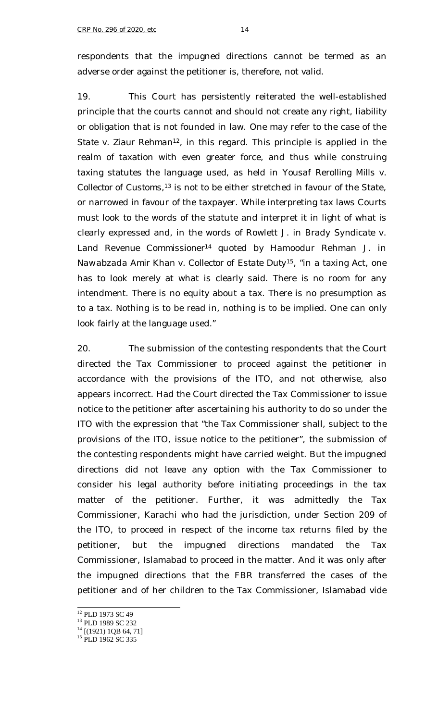respondents that the impugned directions cannot be termed as an adverse order against the petitioner is, therefore, not valid.

19. This Court has persistently reiterated the well-established principle that the courts cannot and should not create any right, liability or obligation that is not founded in law. One may refer to the case of the *State v. Ziaur Rehman*<sup>12</sup>, in this regard. This principle is applied in the realm of taxation with even greater force, and thus while construing taxing statutes the language used, as held in *Yousaf Rerolling Mills v. Collector of Customs,<sup>13</sup>* is not to be either stretched in favour of the State, or narrowed in favour of the taxpayer. While interpreting tax laws Courts must look to the words of the statute and interpret it in light of what is clearly expressed and, in the words of Rowlett J. in *Brady Syndicate v. Land Revenue Commissioner*<sup>14</sup> quoted by Hamoodur Rehman J. in *Nawabzada Amir Khan v. Collector of Estate Duty*<sup>15</sup>, "in a taxing Act, one has to look merely at what is clearly said. There is no room for any intendment. There is no equity about a tax. There is no presumption as to a tax. Nothing is to be read in, nothing is to be implied. One can only look fairly at the language used."

20. The submission of the contesting respondents that the Court directed the Tax Commissioner to proceed against the petitioner in accordance with the provisions of the ITO, and not otherwise, also appears incorrect. Had the Court directed the Tax Commissioner to issue notice to the petitioner after ascertaining his authority to do so under the ITO with the expression that "the Tax Commissioner shall, subject to the provisions of the ITO, issue notice to the petitioner", the submission of the contesting respondents might have carried weight. But the impugned directions did not leave any option with the Tax Commissioner to consider his legal authority before initiating proceedings in the tax matter of the petitioner. Further, it was admittedly the Tax Commissioner, Karachi who had the jurisdiction, under Section 209 of the ITO, to proceed in respect of the income tax returns filed by the petitioner, but the impugned directions mandated the Tax Commissioner, Islamabad to proceed in the matter. And it was only after the impugned directions that the FBR transferred the cases of the petitioner and of her children to the Tax Commissioner, Islamabad vide

f

<sup>&</sup>lt;sup>12</sup> PLD 1973 SC 49

<sup>&</sup>lt;sup>13</sup> PLD 1989 SC 232

 $14$  [(1921) 1QB 64, 71]

<sup>&</sup>lt;sup>15</sup> PLD 1962 SC 335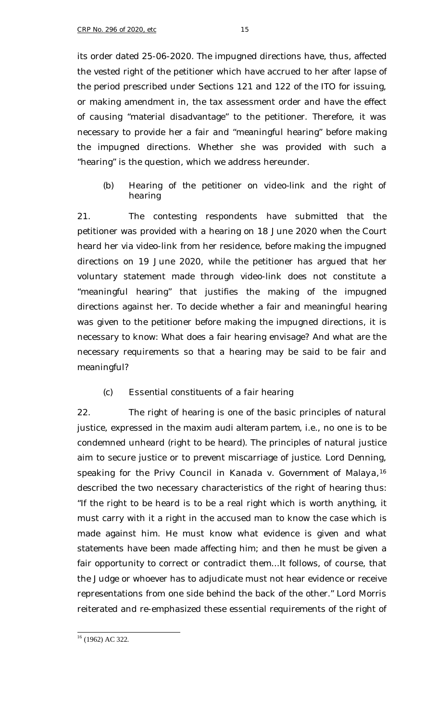its order dated 25-06-2020. The impugned directions have, thus, affected the vested right of the petitioner which have accrued to her after lapse of the period prescribed under Sections 121 and 122 of the ITO for issuing, or making amendment in, the tax assessment order and have the effect of causing "material disadvantage" to the petitioner. Therefore, it was necessary to provide her a fair and "meaningful hearing" before making the impugned directions. Whether she was provided with such a "hearing" is the question, which we address hereunder.

## *(b) Hearing of the petitioner on video-link and the right of hearing*

21. The contesting respondents have submitted that the petitioner was provided with a hearing on 18 June 2020 when the Court heard her via video-link from her residence, before making the impugned directions on 19 June 2020, while the petitioner has argued that her voluntary statement made through video-link does not constitute a "meaningful hearing" that justifies the making of the impugned directions against her. To decide whether a fair and meaningful hearing was given to the petitioner before making the impugned directions, it is necessary to know: What does a fair hearing envisage? And what are the necessary requirements so that a hearing may be said to be fair and meaningful?

## *(c) Essential constituents of a fair hearing*

22. The right of hearing is one of the basic principles of natural justice, expressed in the maxim *audi alteram partem,* i.e., no one is to be condemned unheard (right to be heard). The principles of natural justice aim to secure justice or to prevent miscarriage of justice. Lord Denning, speaking for the Privy Council in *Kanada v. Government of Malaya*, 16 described the two necessary characteristics of the right of hearing thus: "If the right to be heard is to be a real right which is worth anything, it must carry with it a right in the accused man to know the case which is made against him. He must know what evidence is given and what statements have been made affecting him; and then he must be given a fair opportunity to correct or contradict them...It follows, of course, that the Judge or whoever has to adjudicate must not hear evidence or receive representations from one side behind the back of the other." Lord Morris reiterated and re-emphasized these essential requirements of the right of

ł  $16$  (1962) AC 322.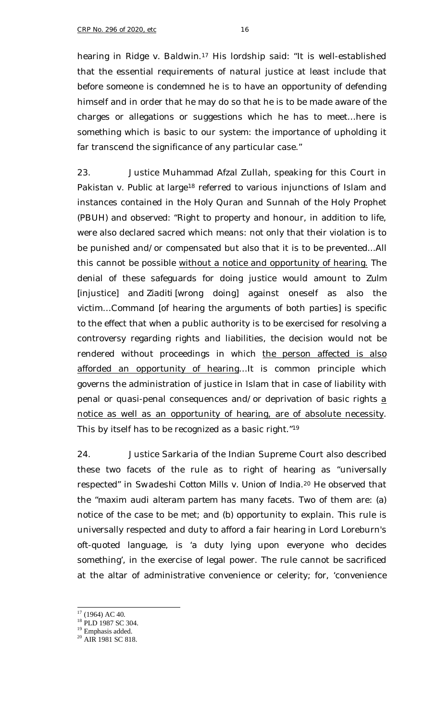hearing in *Ridge v. Baldwin*. <sup>17</sup> His lordship said: "It is well-established that the essential requirements of natural justice at least include that before someone is condemned he is to have an opportunity of defending himself and in order that he may do so that he is to be made aware of the charges or allegations or suggestions which he has to meet…here is something which is basic to our system: the importance of upholding it far transcend the significance of any particular case."

23. Justice Muhammad Afzal Zullah, speaking for this Court in *Pakistan v. Public at large*<sup>18</sup> referred to various injunctions of Islam and instances contained in the Holy Quran and Sunnah of the Holy Prophet (PBUH) and observed: "Right to property and honour, in addition to life, were also declared sacred which means: not only that their violation is to be punished and/or compensated but also that it is to be prevented...All this cannot be possible without a notice and opportunity of hearing. The denial of these safeguards for doing justice would amount to *Zulm*  [injustice] and *Ziaditi* [wrong doing] against oneself as also the victim…Command [of hearing the arguments of both parties] is specific to the effect that when a public authority is to be exercised for resolving a controversy regarding rights and liabilities, the decision would not be rendered without proceedings in which the person affected is also afforded an opportunity of hearing…It is common principle which governs the administration of justice in Islam that in case of liability with penal or quasi-penal consequences and/or deprivation of basic rights a notice as well as an opportunity of hearing, are of absolute necessity. This by itself has to be recognized as a basic right."<sup>19</sup>

24. Justice Sarkaria of the Indian Supreme Court also described these two facets of the rule as to right of hearing as "universally respected" in *Swadeshi Cotton Mills v. Union of India*. <sup>20</sup> He observed that the "maxim *audi alteram partem* has many facets. Two of them are: (a) notice of the case to be met; and (b) opportunity to explain. This rule is universally respected and duty to afford a fair hearing in Lord Loreburn's oft-quoted language, is 'a duty lying upon everyone who decides something', in the exercise of legal power. The rule cannot be sacrificed at the altar of administrative convenience or celerity; for, 'convenience

f

 $17$  (1964) AC 40.

<sup>&</sup>lt;sup>18</sup> PLD 1987 SC 304.

 $19$  Emphasis added.

<sup>&</sup>lt;sup>20</sup> AIR 1981 SC 818.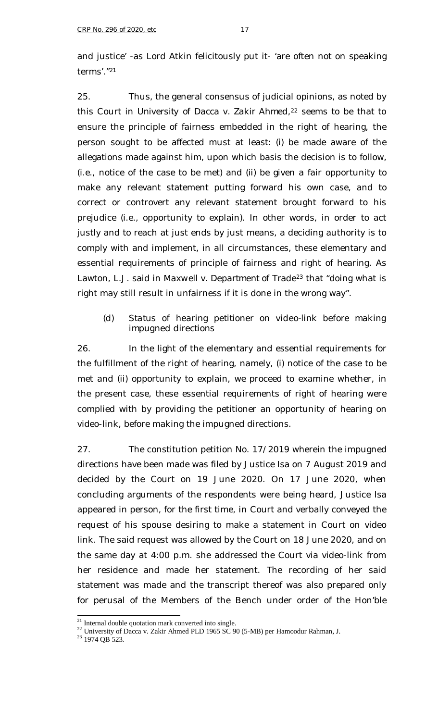and justice' -as Lord Atkin felicitously put it- 'are often not on speaking terms'."<sup>21</sup>

25. Thus, the general consensus of judicial opinions, as noted by this Court in *University of Dacca v. Zakir Ahmed*, <sup>22</sup> seems to be that to ensure the principle of fairness embedded in the right of hearing, the person sought to be affected must at least: (i) be made aware of the allegations made against him, upon which basis the decision is to follow, (i.e., notice of the case to be met) and (ii) be given a fair opportunity to make any relevant statement putting forward his own case, and to correct or controvert any relevant statement brought forward to his prejudice (i.e., opportunity to explain). In other words, in order to act justly and to reach at just ends by just means, a deciding authority is to comply with and implement, in all circumstances, these elementary and essential requirements of principle of fairness and right of hearing. As Lawton, L.J. said in *Maxwell v. Department of Trade*<sup>23</sup> that "doing what is right may still result in unfairness if it is done in the wrong way".

## *(d) Status of hearing petitioner on video-link before making impugned directions*

26. In the light of the elementary and essential requirements for the fulfillment of the right of hearing, namely, (i) notice of the case to be met and (ii) opportunity to explain, we proceed to examine whether, in the present case, these essential requirements of right of hearing were complied with by providing the petitioner an opportunity of hearing on video-link, before making the impugned directions.

27. The constitution petition No. 17/2019 wherein the impugned directions have been made was filed by Justice Isa on 7 August 2019 and decided by the Court on 19 June 2020. On 17 June 2020, when concluding arguments of the respondents were being heard, Justice Isa appeared in person, for the first time, in Court and verbally conveyed the request of his spouse desiring to make a statement in Court on video link. The said request was allowed by the Court on 18 June 2020, and on the same day at 4:00 p.m. she addressed the Court via video-link from her residence and made her statement. The recording of her said statement was made and the transcript thereof was also prepared only for perusal of the Members of the Bench under order of the Hon'ble

ł  $21$  Internal double quotation mark converted into single.

 $^{22}$  University of Dacca v. Zakir Ahmed PLD 1965 SC 90 (5-MB) per Hamoodur Rahman, J.

 $23$  1974 QB 523.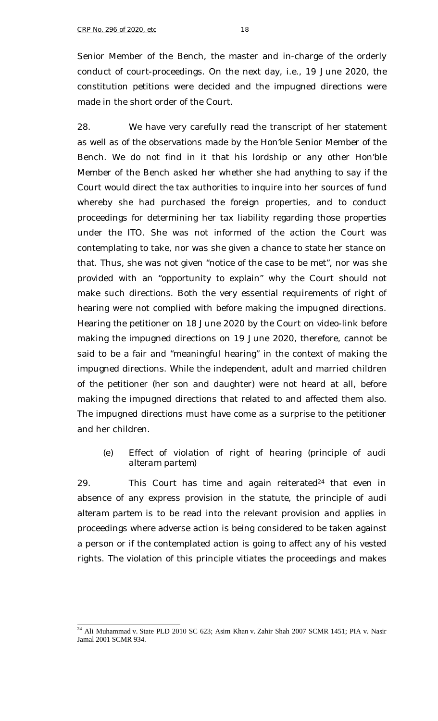Senior Member of the Bench, the master and in-charge of the orderly conduct of court-proceedings. On the next day, i.e., 19 June 2020, the constitution petitions were decided and the impugned directions were made in the short order of the Court.

28. We have very carefully read the transcript of her statement as well as of the observations made by the Hon'ble Senior Member of the Bench. We do not find in it that his lordship or any other Hon'ble Member of the Bench asked her whether she had anything to say if the Court would direct the tax authorities to inquire into her sources of fund whereby she had purchased the foreign properties, and to conduct proceedings for determining her tax liability regarding those properties under the ITO. She was not informed of the action the Court was contemplating to take, nor was she given a chance to state her stance on that. Thus, she was not given "notice of the case to be met", nor was she provided with an "opportunity to explain" why the Court should not make such directions. Both the very essential requirements of right of hearing were not complied with before making the impugned directions. Hearing the petitioner on 18 June 2020 by the Court on video-link before making the impugned directions on 19 June 2020, therefore, cannot be said to be a fair and "meaningful hearing" in the context of making the impugned directions. While the independent, adult and married children of the petitioner (her son and daughter) were not heard at all, before making the impugned directions that related to and affected them also. The impugned directions must have come as a surprise to the petitioner and her children.

## *(e) Effect of violation of right of hearing (principle of audi alteram partem)*

29. This Court has time and again reiterated<sup>24</sup> that even in absence of any express provision in the statute, the principle of *audi alteram partem* is to be read into the relevant provision and applies in proceedings where adverse action is being considered to be taken against a person or if the contemplated action is going to affect any of his vested rights. The violation of this principle vitiates the proceedings and makes

 $^{24}$  Ali Muhammad v. State PLD 2010 SC 623; Asim Khan v. Zahir Shah 2007 SCMR 1451; PIA v. Nasir Jamal 2001 SCMR 934.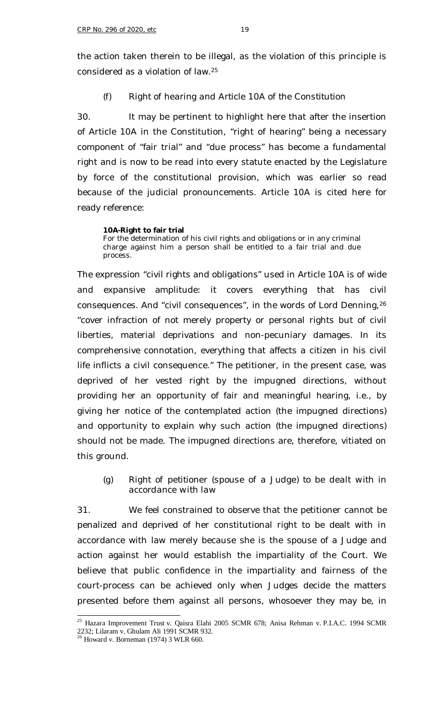the action taken therein to be illegal, as the violation of this principle is considered as a violation of law.<sup>25</sup>

#### *(f) Right of hearing and Article 10A of the Constitution*

30. It may be pertinent to highlight here that after the insertion of Article 10A in the Constitution, "right of hearing" being a necessary component of "fair trial" and "due process" has become a fundamental right and is now to be read into every statute enacted by the Legislature by force of the constitutional provision, which was earlier so read because of the judicial pronouncements. Article 10A is cited here for ready reference:

#### **10A-Right to fair trial**

For the determination of his civil rights and obligations or in any criminal charge against him a person shall be entitled to a fair trial and due process.

The expression "civil rights and obligations" used in Article 10A is of wide and expansive amplitude: it covers everything that has civil consequences. And "civil consequences", in the words of Lord Denning,<sup>26</sup> "cover infraction of not merely property or personal rights but of civil liberties, material deprivations and non-pecuniary damages. In its comprehensive connotation, everything that affects a citizen in his civil life inflicts a civil consequence." The petitioner, in the present case, was deprived of her vested right by the impugned directions, without providing her an opportunity of fair and meaningful hearing, i.e., by giving her notice of the contemplated action (the impugned directions) and opportunity to explain why such action (the impugned directions) should not be made. The impugned directions are, therefore, vitiated on this ground.

*(g) Right of petitioner (spouse of a Judge) to be dealt with in accordance with law*

31. We feel constrained to observe that the petitioner cannot be penalized and deprived of her constitutional right to be dealt with in accordance with law merely because she is the spouse of a Judge and action against her would establish the impartiality of the Court. We believe that public confidence in the impartiality and fairness of the court-process can be achieved only when Judges decide the matters presented before them against all persons, whosoever they may be, in

<sup>&</sup>lt;sup>25</sup> Hazara Improvement Trust v. Qaisra Elahi 2005 SCMR 678; Anisa Rehman v. P.I.A.C. 1994 SCMR 2232; Lilaram v. Ghulam Ali 1991 SCMR 932.

 $26$  Howard v. Borneman (1974) 3 WLR 660.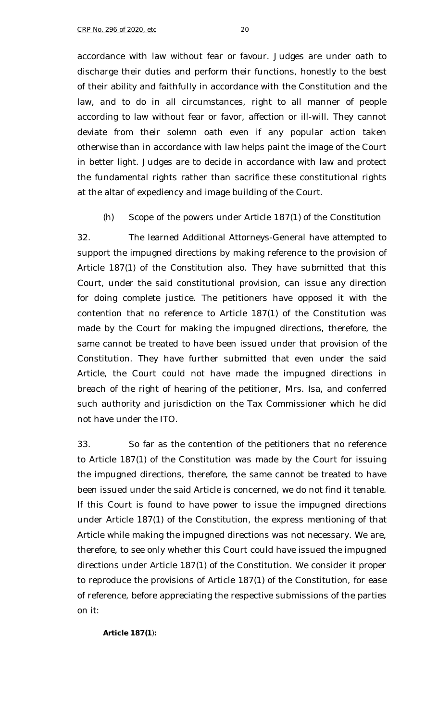accordance with law without fear or favour. Judges are under oath to discharge their duties and perform their functions, honestly to the best of their ability and faithfully in accordance with the Constitution and the law, and to do in all circumstances, right to all manner of people according to law without fear or favor, affection or ill-will. They cannot deviate from their solemn oath even if any popular action taken otherwise than in accordance with law helps paint the image of the Court in better light. Judges are to decide in accordance with law and protect the fundamental rights rather than sacrifice these constitutional rights at the altar of expediency and image building of the Court.

### *(h) Scope of the powers under Article 187(1) of the Constitution*

32. The learned Additional Attorneys-General have attempted to support the impugned directions by making reference to the provision of Article 187(1) of the Constitution also. They have submitted that this Court, under the said constitutional provision, can issue any direction for doing complete justice. The petitioners have opposed it with the contention that no reference to Article 187(1) of the Constitution was made by the Court for making the impugned directions, therefore, the same cannot be treated to have been issued under that provision of the Constitution. They have further submitted that even under the said Article, the Court could not have made the impugned directions in breach of the right of hearing of the petitioner, Mrs. Isa, and conferred such authority and jurisdiction on the Tax Commissioner which he did not have under the ITO.

33. So far as the contention of the petitioners that no reference to Article 187(1) of the Constitution was made by the Court for issuing the impugned directions, therefore, the same cannot be treated to have been issued under the said Article is concerned, we do not find it tenable. If this Court is found to have power to issue the impugned directions under Article 187(1) of the Constitution, the express mentioning of that Article while making the impugned directions was not necessary. We are, therefore, to see only whether this Court could have issued the impugned directions under Article 187(1) of the Constitution. We consider it proper to reproduce the provisions of Article 187(1) of the Constitution, for ease of reference, before appreciating the respective submissions of the parties on it:

**Article 187(1**)**:**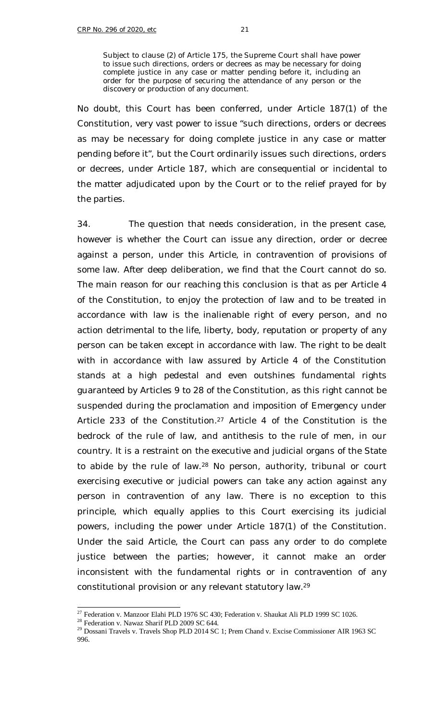Subject to clause (2) of Article 175, the Supreme Court shall have power to issue such directions, orders or decrees as may be necessary for doing complete justice in any case or matter pending before it, including an order for the purpose of securing the attendance of any person or the discovery or production of any document.

No doubt, this Court has been conferred, under Article 187(1) of the Constitution, very vast power to issue "such directions, orders or decrees as may be necessary for doing complete justice in any case or matter pending before it", but the Court ordinarily issues such directions, orders or decrees, under Article 187, which are consequential or incidental to the matter adjudicated upon by the Court or to the relief prayed for by the parties.

34. The question that needs consideration, in the present case, however is whether the Court can issue any direction, order or decree against a person, under this Article, in contravention of provisions of some law. After deep deliberation, we find that the Court cannot do so. The main reason for our reaching this conclusion is that as per Article 4 of the Constitution, to enjoy the protection of law and to be treated in accordance with law is the inalienable right of every person, and no action detrimental to the life, liberty, body, reputation or property of any person can be taken except in accordance with law. The right to be dealt with in accordance with law assured by Article 4 of the Constitution stands at a high pedestal and even outshines fundamental rights guaranteed by Articles 9 to 28 of the Constitution, as this right cannot be suspended during the proclamation and imposition of Emergency under Article 233 of the Constitution.<sup>27</sup> Article 4 of the Constitution is the bedrock of the rule of law, and antithesis to the rule of men, in our country. It is a restraint on the executive and judicial organs of the State to abide by the rule of law.<sup>28</sup> No person, authority, tribunal or court exercising executive or judicial powers can take any action against any person in contravention of any law. There is no exception to this principle, which equally applies to this Court exercising its judicial powers, including the power under Article 187(1) of the Constitution. Under the said Article, the Court can pass any order to do complete justice between the parties; however, it cannot make an order inconsistent with the fundamental rights or in contravention of any constitutional provision or any relevant statutory law.<sup>29</sup>

f <sup>27</sup> Federation v. Manzoor Elahi PLD 1976 SC 430; Federation v. Shaukat Ali PLD 1999 SC 1026.

<sup>&</sup>lt;sup>28</sup> Federation v. Nawaz Sharif PLD 2009 SC 644.

<sup>&</sup>lt;sup>29</sup> Dossani Travels v. Travels Shop PLD 2014 SC 1; Prem Chand v. Excise Commissioner AIR 1963 SC 996.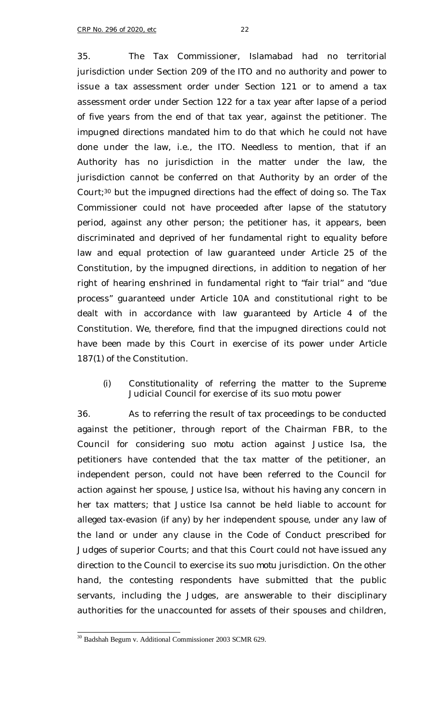jurisdiction under Section 209 of the ITO and no authority and power to issue a tax assessment order under Section 121 or to amend a tax assessment order under Section 122 for a tax year after lapse of a period of five years from the end of that tax year, against the petitioner. The impugned directions mandated him to do that which he could not have done under the law, i.e., the ITO. Needless to mention, that if an Authority has no jurisdiction in the matter under the law, the jurisdiction cannot be conferred on that Authority by an order of the Court;<sup>30</sup> but the impugned directions had the effect of doing so. The Tax Commissioner could not have proceeded after lapse of the statutory period, against any other person; the petitioner has, it appears, been discriminated and deprived of her fundamental right to equality before law and equal protection of law guaranteed under Article 25 of the Constitution, by the impugned directions, in addition to negation of her right of hearing enshrined in fundamental right to "fair trial" and "due process" guaranteed under Article 10A and constitutional right to be dealt with in accordance with law guaranteed by Article 4 of the Constitution. We, therefore, find that the impugned directions could not have been made by this Court in exercise of its power under Article 187(1) of the Constitution.

# *(i) Constitutionality of referring the matter to the Supreme Judicial Council for exercise of its suo motu power*

36. As to referring the result of tax proceedings to be conducted against the petitioner, through report of the Chairman FBR, to the Council for considering *suo motu* action against Justice Isa, the petitioners have contended that the tax matter of the petitioner, an independent person, could not have been referred to the Council for action against her spouse, Justice Isa, without his having any concern in her tax matters; that Justice Isa cannot be held liable to account for alleged tax-evasion (if any) by her independent spouse, under any law of the land or under any clause in the Code of Conduct prescribed for Judges of superior Courts; and that this Court could not have issued any direction to the Council to exercise its *suo motu* jurisdiction. On the other hand, the contesting respondents have submitted that the public servants, including the Judges, are answerable to their disciplinary authorities for the unaccounted for assets of their spouses and children,

ł  $30$  Badshah Begum v. Additional Commissioner 2003 SCMR 629.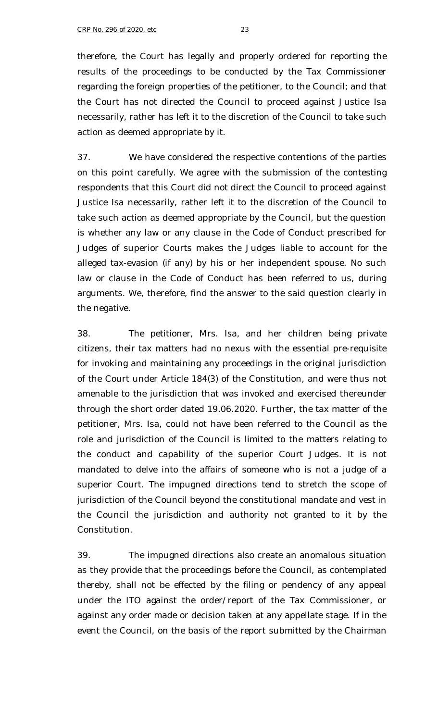therefore, the Court has legally and properly ordered for reporting the results of the proceedings to be conducted by the Tax Commissioner regarding the foreign properties of the petitioner, to the Council; and that the Court has not directed the Council to proceed against Justice Isa necessarily, rather has left it to the discretion of the Council to take such action as deemed appropriate by it.

37. We have considered the respective contentions of the parties on this point carefully. We agree with the submission of the contesting respondents that this Court did not direct the Council to proceed against Justice Isa necessarily, rather left it to the discretion of the Council to take such action as deemed appropriate by the Council, but the question is whether any law or any clause in the Code of Conduct prescribed for Judges of superior Courts makes the Judges liable to account for the alleged tax-evasion (if any) by his or her independent spouse. No such law or clause in the Code of Conduct has been referred to us, during arguments. We, therefore, find the answer to the said question clearly in the negative.

38. The petitioner, Mrs. Isa, and her children being private citizens, their tax matters had no nexus with the essential pre-requisite for invoking and maintaining any proceedings in the original jurisdiction of the Court under Article 184(3) of the Constitution, and were thus not amenable to the jurisdiction that was invoked and exercised thereunder through the short order dated 19.06.2020. Further, the tax matter of the petitioner, Mrs. Isa, could not have been referred to the Council as the role and jurisdiction of the Council is limited to the matters relating to the conduct and capability of the superior Court Judges. It is not mandated to delve into the affairs of someone who is not a judge of a superior Court. The impugned directions tend to stretch the scope of jurisdiction of the Council beyond the constitutional mandate and vest in the Council the jurisdiction and authority not granted to it by the Constitution.

39. The impugned directions also create an anomalous situation as they provide that the proceedings before the Council, as contemplated thereby, shall not be effected by the filing or pendency of any appeal under the ITO against the order/report of the Tax Commissioner, or against any order made or decision taken at any appellate stage. If in the event the Council, on the basis of the report submitted by the Chairman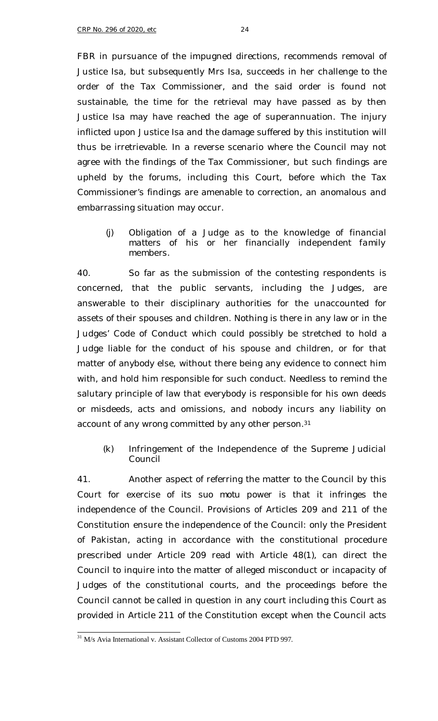FBR in pursuance of the impugned directions, recommends removal of Justice Isa, but subsequently Mrs Isa, succeeds in her challenge to the order of the Tax Commissioner, and the said order is found not sustainable, the time for the retrieval may have passed as by then Justice Isa may have reached the age of superannuation. The injury inflicted upon Justice Isa and the damage suffered by this institution will thus be irretrievable. In a reverse scenario where the Council may not agree with the findings of the Tax Commissioner, but such findings are upheld by the forums, including this Court, before which the Tax Commissioner's findings are amenable to correction, an anomalous and embarrassing situation may occur.

## *(j) Obligation of a Judge as to the knowledge of financial matters of his or her financially independent family members.*

40. So far as the submission of the contesting respondents is concerned, that the public servants, including the Judges, are answerable to their disciplinary authorities for the unaccounted for assets of their spouses and children. Nothing is there in any law or in the Judges' Code of Conduct which could possibly be stretched to hold a Judge liable for the conduct of his spouse and children, or for that matter of anybody else, without there being any evidence to connect him with, and hold him responsible for such conduct. Needless to remind the salutary principle of law that everybody is responsible for his own deeds or misdeeds, acts and omissions, and nobody incurs any liability on account of any wrong committed by any other person.<sup>31</sup>

# *(k) Infringement of the Independence of the Supreme Judicial Council*

41. Another aspect of referring the matter to the Council by this Court for exercise of its *suo motu* power is that it infringes the independence of the Council. Provisions of Articles 209 and 211 of the Constitution ensure the independence of the Council: only the President of Pakistan, acting in accordance with the constitutional procedure prescribed under Article 209 read with Article 48(1), can direct the Council to inquire into the matter of alleged misconduct or incapacity of Judges of the constitutional courts, and the proceedings before the Council cannot be called in question in any court including this Court as provided in Article 211 of the Constitution except when the Council acts

ł <sup>31</sup> M/s Avia International v. Assistant Collector of Customs 2004 PTD 997.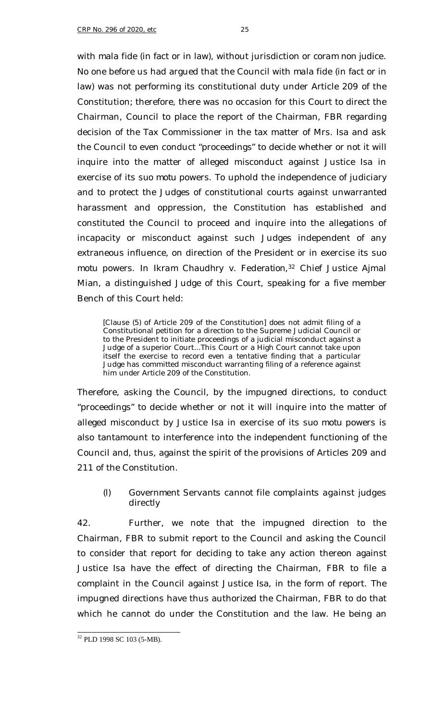with *mala fide* (in fact or in law), without jurisdiction or *coram non judice*. No one before us had argued that the Council with *mala fide* (in fact or in law) was not performing its constitutional duty under Article 209 of the Constitution; therefore, there was no occasion for this Court to direct the Chairman, Council to place the report of the Chairman, FBR regarding decision of the Tax Commissioner in the tax matter of Mrs. Isa and ask the Council to even conduct "proceedings" to decide whether or not it will inquire into the matter of alleged misconduct against Justice Isa in exercise of its *suo motu* powers. To uphold the independence of judiciary and to protect the Judges of constitutional courts against unwarranted harassment and oppression, the Constitution has established and constituted the Council to proceed and inquire into the allegations of incapacity or misconduct against such Judges independent of any extraneous influence, on direction of the President or in exercise its *suo motu* powers. In *Ikram Chaudhry v. Federation*, <sup>32</sup> Chief Justice Ajmal Mian, a distinguished Judge of this Court, speaking for a five member Bench of this Court held:

[Clause (5) of Article 209 of the Constitution] does not admit filing of a Constitutional petition for a direction to the Supreme Judicial Council or to the President to initiate proceedings of a judicial misconduct against a Judge of a superior Court...This Court or a High Court cannot take upon itself the exercise to record even a tentative finding that a particular Judge has committed misconduct warranting filing of a reference against him under Article 209 of the Constitution.

Therefore, asking the Council, by the impugned directions, to conduct "proceedings" to decide whether or not it will inquire into the matter of alleged misconduct by Justice Isa in exercise of its *suo motu* powers is also tantamount to interference into the independent functioning of the Council and, thus, against the spirit of the provisions of Articles 209 and 211 of the Constitution.

## *(l) Government Servants cannot file complaints against judges directly*

42. Further, we note that the impugned direction to the Chairman, FBR to submit report to the Council and asking the Council to consider that report for deciding to take any action thereon against Justice Isa have the effect of directing the Chairman, FBR to file a complaint in the Council against Justice Isa, in the form of report. The impugned directions have thus authorized the Chairman, FBR to do that which he cannot do under the Constitution and the law. He being an

ł <sup>32</sup> PLD 1998 SC 103 (5-MB).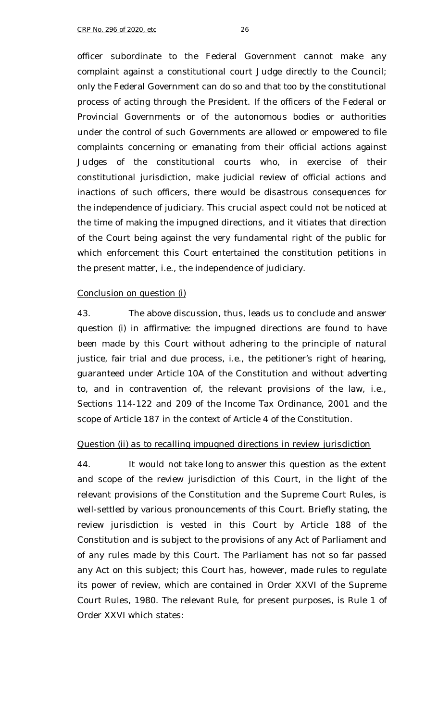officer subordinate to the Federal Government cannot make any complaint against a constitutional court Judge directly to the Council; only the Federal Government can do so and that too by the constitutional process of acting through the President. If the officers of the Federal or Provincial Governments or of the autonomous bodies or authorities under the control of such Governments are allowed or empowered to file complaints concerning or emanating from their official actions against Judges of the constitutional courts who, in exercise of their constitutional jurisdiction, make judicial review of official actions and inactions of such officers, there would be disastrous consequences for the independence of judiciary. This crucial aspect could not be noticed at the time of making the impugned directions, and it vitiates that direction of the Court being against the very fundamental right of the public for which enforcement this Court entertained the constitution petitions in the present matter, i.e., the independence of judiciary.

#### *Conclusion on question (i)*

43. The above discussion, thus, leads us to conclude and answer question (i) in affirmative: the impugned directions are found to have been made by this Court without adhering to the principle of natural justice, fair trial and due process, i.e., the petitioner's right of hearing, guaranteed under Article 10A of the Constitution and without adverting to, and in contravention of, the relevant provisions of the law, i.e., Sections 114-122 and 209 of the Income Tax Ordinance, 2001 and the scope of Article 187 in the context of Article 4 of the Constitution.

### *Question (ii) as to recalling impugned directions in review jurisdiction*

44. It would not take long to answer this question as the extent and scope of the review jurisdiction of this Court, in the light of the relevant provisions of the Constitution and the Supreme Court Rules, is well-settled by various pronouncements of this Court. Briefly stating, the review jurisdiction is vested in this Court by Article 188 of the Constitution and is subject to the provisions of any Act of Parliament and of any rules made by this Court. The Parliament has not so far passed any Act on this subject; this Court has, however, made rules to regulate its power of review, which are contained in Order XXVI of the Supreme Court Rules, 1980. The relevant Rule, for present purposes, is Rule 1 of Order XXVI which states: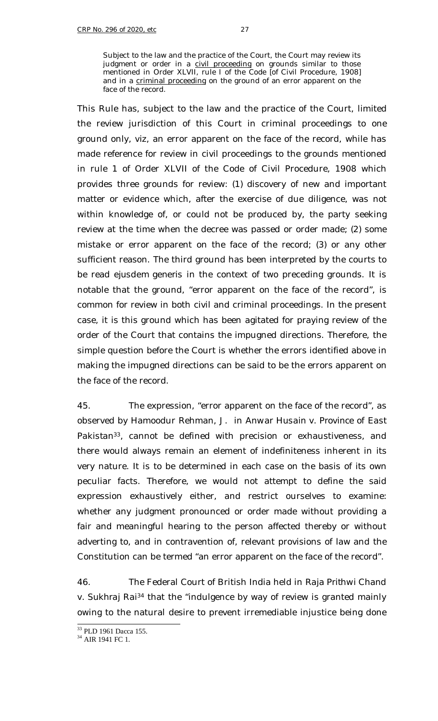Subject to the law and the practice of the Court, the Court may review its judgment or order in a civil proceeding on grounds similar to those mentioned in Order XLVII, rule I of the Code [of Civil Procedure, 1908] and in a criminal proceeding on the ground of an error apparent on the face of the record.

This Rule has, subject to the law and the practice of the Court, limited the review jurisdiction of this Court in criminal proceedings to one ground only, *viz*, an error apparent on the face of the record, while has made reference for review in civil proceedings to the grounds mentioned in rule 1 of Order XLVII of the Code of Civil Procedure, 1908 which provides three grounds for review: (1) discovery of new and important matter or evidence which, after the exercise of due diligence, was not within knowledge of, or could not be produced by, the party seeking review at the time when the decree was passed or order made; (2) some mistake or error apparent on the face of the record; (3) or any other sufficient reason. The third ground has been interpreted by the courts to be read *ejusdem generis* in the context of two preceding grounds. It is notable that the ground, "error apparent on the face of the record", is common for review in both civil and criminal proceedings. In the present case, it is this ground which has been agitated for praying review of the order of the Court that contains the impugned directions. Therefore, the simple question before the Court is whether the errors identified above in making the impugned directions can be said to be the errors apparent on the face of the record.

45. The expression, "error apparent on the face of the record", as observed by Hamoodur Rehman, J. in *Anwar Husain v. Province of East Pakistan*<sup>33</sup>, cannot be defined with precision or exhaustiveness, and there would always remain an element of indefiniteness inherent in its very nature. It is to be determined in each case on the basis of its own peculiar facts. Therefore, we would not attempt to define the said expression exhaustively either, and restrict ourselves to examine: whether any judgment pronounced or order made without providing a fair and meaningful hearing to the person affected thereby or without adverting to, and in contravention of, relevant provisions of law and the Constitution can be termed "an error apparent on the face of the record".

46. The Federal Court of British India held in *Raja Prithwi Chand v. Sukhraj Rai<sup>34</sup>* that the "indulgence by way of review is granted mainly owing to the natural desire to prevent irremediable injustice being done

ł <sup>33</sup> PLD 1961 Dacca 155.

<sup>&</sup>lt;sup>34</sup> AIR 1941 FC 1.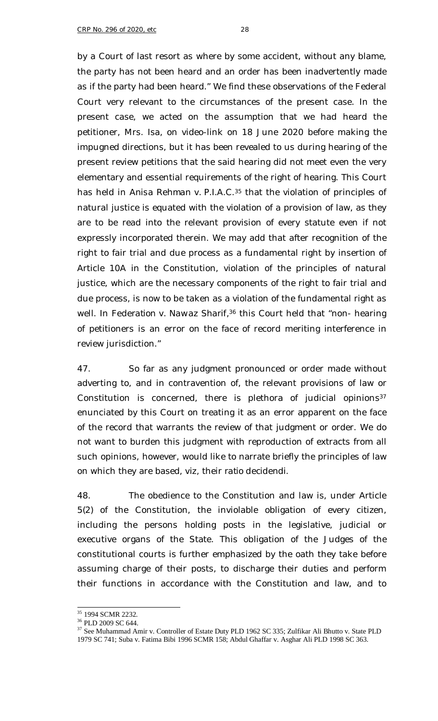by a Court of last resort as where by some accident, without any blame, the party has not been heard and an order has been inadvertently made as if the party had been heard." We find these observations of the Federal Court very relevant to the circumstances of the present case. In the present case, we acted on the assumption that we had heard the petitioner, Mrs. Isa, on video-link on 18 June 2020 before making the impugned directions, but it has been revealed to us during hearing of the present review petitions that the said hearing did not meet even the very elementary and essential requirements of the right of hearing. This Court has held in *Anisa Rehman v. P.I.A.C*. <sup>35</sup> that the violation of principles of natural justice is equated with the violation of a provision of law, as they are to be read into the relevant provision of every statute even if not expressly incorporated therein. We may add that after recognition of the right to fair trial and due process as a fundamental right by insertion of Article 10A in the Constitution, violation of the principles of natural justice, which are the necessary components of the right to fair trial and due process, is now to be taken as a violation of the fundamental right as well. In *Federation v. Nawaz Sharif*, <sup>36</sup> this Court held that "non- hearing of petitioners is an error on the face of record meriting interference in review jurisdiction."

47. So far as any judgment pronounced or order made without adverting to, and in contravention of, the relevant provisions of law or Constitution is concerned, there is plethora of judicial opinions<sup>37</sup> enunciated by this Court on treating it as an error apparent on the face of the record that warrants the review of that judgment or order. We do not want to burden this judgment with reproduction of extracts from all such opinions, however, would like to narrate briefly the principles of law on which they are based, *viz*, their *ratio decidendi*.

48. The obedience to the Constitution and law is, under Article 5(2) of the Constitution, the inviolable obligation of every citizen, including the persons holding posts in the legislative, judicial or executive organs of the State. This obligation of the Judges of the constitutional courts is further emphasized by the oath they take before assuming charge of their posts, to discharge their duties and perform their functions in accordance with the Constitution and law, and to

f

<sup>&</sup>lt;sup>35</sup> 1994 SCMR 2232.

<sup>36</sup> PLD 2009 SC 644.

<sup>&</sup>lt;sup>37</sup> See Muhammad Amir v. Controller of Estate Duty PLD 1962 SC 335; Zulfikar Ali Bhutto v. State PLD 1979 SC 741; Suba v. Fatima Bibi 1996 SCMR 158; Abdul Ghaffar v. Asghar Ali PLD 1998 SC 363.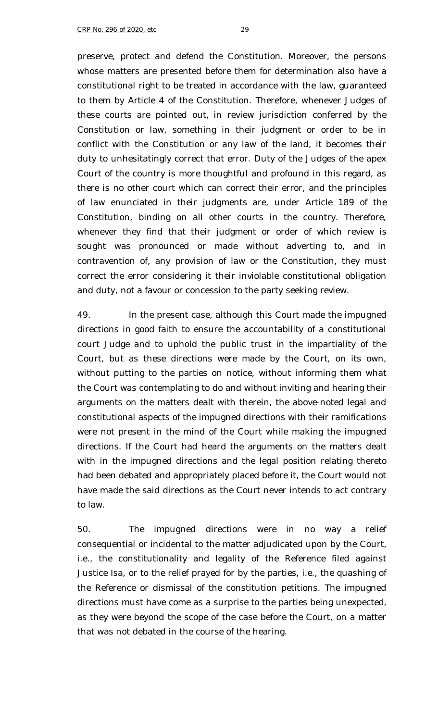preserve, protect and defend the Constitution. Moreover, the persons whose matters are presented before them for determination also have a constitutional right to be treated in accordance with the law, guaranteed to them by Article 4 of the Constitution. Therefore, whenever Judges of these courts are pointed out, in review jurisdiction conferred by the Constitution or law, something in their judgment or order to be in conflict with the Constitution or any law of the land, it becomes their duty to unhesitatingly correct that error. Duty of the Judges of the apex Court of the country is more thoughtful and profound in this regard, as there is no other court which can correct their error, and the principles of law enunciated in their judgments are, under Article 189 of the Constitution, binding on all other courts in the country. Therefore, whenever they find that their judgment or order of which review is sought was pronounced or made without adverting to, and in contravention of, any provision of law or the Constitution, they must correct the error considering it their inviolable constitutional obligation and duty, not a favour or concession to the party seeking review.

49. In the present case, although this Court made the impugned directions in good faith to ensure the accountability of a constitutional court Judge and to uphold the public trust in the impartiality of the Court, but as these directions were made by the Court, on its own, without putting to the parties on notice, without informing them what the Court was contemplating to do and without inviting and hearing their arguments on the matters dealt with therein, the above-noted legal and constitutional aspects of the impugned directions with their ramifications were not present in the mind of the Court while making the impugned directions. If the Court had heard the arguments on the matters dealt with in the impugned directions and the legal position relating thereto had been debated and appropriately placed before it, the Court would not have made the said directions as the Court never intends to act contrary to law.

50. The impugned directions were in no way a relief consequential or incidental to the matter adjudicated upon by the Court, i.e., the constitutionality and legality of the Reference filed against Justice Isa, or to the relief prayed for by the parties, i.e., the quashing of the Reference or dismissal of the constitution petitions. The impugned directions must have come as a surprise to the parties being unexpected, as they were beyond the scope of the case before the Court, on a matter that was not debated in the course of the hearing.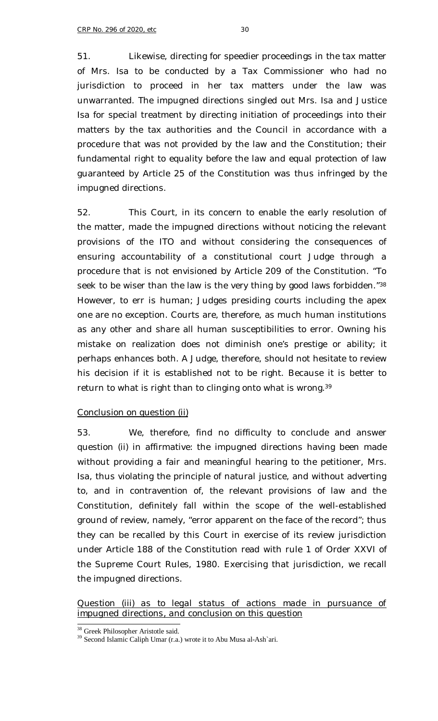51. Likewise, directing for speedier proceedings in the tax matter of Mrs. Isa to be conducted by a Tax Commissioner who had no jurisdiction to proceed in her tax matters under the law was unwarranted. The impugned directions singled out Mrs. Isa and Justice Isa for special treatment by directing initiation of proceedings into their matters by the tax authorities and the Council in accordance with a procedure that was not provided by the law and the Constitution; their fundamental right to equality before the law and equal protection of law guaranteed by Article 25 of the Constitution was thus infringed by the impugned directions.

52. This Court, in its concern to enable the early resolution of the matter, made the impugned directions without noticing the relevant provisions of the ITO and without considering the consequences of ensuring accountability of a constitutional court Judge through a procedure that is not envisioned by Article 209 of the Constitution. "To seek to be wiser than the law is the very thing by good laws forbidden."<sup>38</sup> However, to err is human; Judges presiding courts including the apex one are no exception. Courts are, therefore, as much human institutions as any other and share all human susceptibilities to error. Owning his mistake on realization does not diminish one's prestige or ability; it perhaps enhances both. A Judge, therefore, should not hesitate to review his decision if it is established not to be right. Because it is better to return to what is right than to clinging onto what is wrong.<sup>39</sup>

## *Conclusion on question (ii)*

53. We, therefore, find no difficulty to conclude and answer question (ii) in affirmative: the impugned directions having been made without providing a fair and meaningful hearing to the petitioner, Mrs. Isa, thus violating the principle of natural justice, and without adverting to, and in contravention of, the relevant provisions of law and the Constitution, definitely fall within the scope of the well-established ground of review, namely, "error apparent on the face of the record"; thus they can be recalled by this Court in exercise of its review jurisdiction under Article 188 of the Constitution read with rule 1 of Order XXVI of the Supreme Court Rules, 1980. Exercising that jurisdiction, we recall the impugned directions.

*Question (iii) as to legal status of actions made in pursuance of impugned directions, and conclusion on this question*

ł <sup>38</sup> Greek Philosopher Aristotle said.

<sup>39</sup> Second Islamic Caliph Umar (r.a.) wrote it to Abu Musa al-Ash`ari.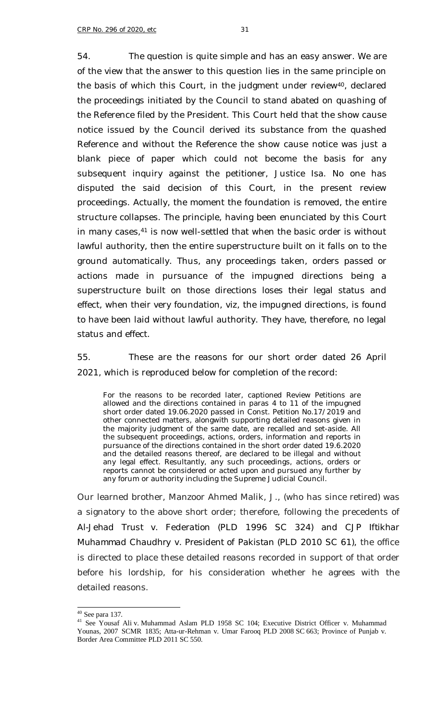54. The question is quite simple and has an easy answer. We are of the view that the answer to this question lies in the same principle on the basis of which this Court, in the judgment under review<sup>40</sup>, declared the proceedings initiated by the Council to stand abated on quashing of the Reference filed by the President. This Court held that the show cause notice issued by the Council derived its substance from the quashed Reference and without the Reference the show cause notice was just a blank piece of paper which could not become the basis for any subsequent inquiry against the petitioner, Justice Isa. No one has disputed the said decision of this Court, in the present review proceedings. Actually, the moment the foundation is removed, the entire structure collapses. The principle, having been enunciated by this Court in many cases,<sup>41</sup> is now well-settled that when the basic order is without lawful authority, then the entire superstructure built on it falls on to the ground automatically. Thus, any proceedings taken, orders passed or actions made in pursuance of the impugned directions being a superstructure built on those directions loses their legal status and

effect, when their very foundation, *viz*, the impugned directions, is found to have been laid without lawful authority. They have, therefore, no legal status and effect.

55. These are the reasons for our short order dated 26 April 2021, which is reproduced below for completion of the record:

For the reasons to be recorded later, captioned Review Petitions are allowed and the directions contained in paras 4 to 11 of the impugned short order dated 19.06.2020 passed in Const. Petition No.17/2019 and other connected matters, alongwith supporting detailed reasons given in the majority judgment of the same date, are recalled and set-aside. All the subsequent proceedings, actions, orders, information and reports in pursuance of the directions contained in the short order dated 19.6.2020 and the detailed reasons thereof, are declared to be illegal and without any legal effect. Resultantly, any such proceedings, actions, orders or reports cannot be considered or acted upon and pursued any further by any forum or authority including the Supreme Judicial Council.

Our learned brother, Manzoor Ahmed Malik, J., (who has since retired) was a signatory to the above short order; therefore, following the precedents of *Al-Jehad Trust v. Federation* (PLD 1996 SC 324) and *CJP Iftikhar Muhammad Chaudhry v. President of Pakistan* (PLD 2010 SC 61), the office is directed to place these detailed reasons recorded in support of that order before his lordship, for his consideration whether he agrees with the detailed reasons.

f  $40$  See para 137.

<sup>&</sup>lt;sup>41</sup> See Yousaf Ali v. Muhammad Aslam PLD 1958 SC 104; Executive District Officer v. Muhammad Younas, 2007 SCMR 1835; Atta-ur-Rehman v. Umar Farooq PLD 2008 SC 663; Province of Punjab v. Border Area Committee PLD 2011 SC 550.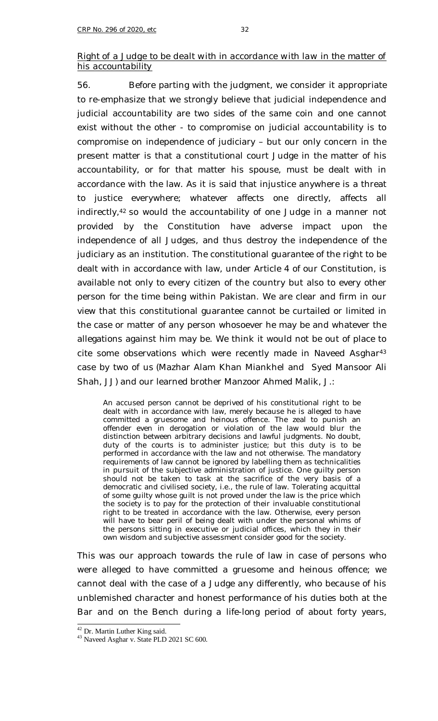## *Right of a Judge to be dealt with in accordance with law in the matter of his accountability*

56. Before parting with the judgment, we consider it appropriate to re-emphasize that we strongly believe that judicial independence and judicial accountability are two sides of the same coin and one cannot exist without the other - to compromise on judicial accountability is to compromise on independence of judiciary – but our only concern in the present matter is that a constitutional court Judge in the matter of his accountability, or for that matter his spouse, must be dealt with in accordance with the law. As it is said that injustice anywhere is a threat to justice everywhere; whatever affects one directly, affects all indirectly,<sup>42</sup> so would the accountability of one Judge in a manner not provided by the Constitution have adverse impact upon the independence of all Judges, and thus destroy the independence of the judiciary as an institution. The constitutional guarantee of the right to be dealt with in accordance with law, under Article 4 of our Constitution, is available not only to every citizen of the country but also to every other person for the time being within Pakistan. We are clear and firm in our view that this constitutional guarantee cannot be curtailed or limited in the case or matter of any person whosoever he may be and whatever the allegations against him may be. We think it would not be out of place to cite some observations which were recently made in *Naveed Asghar*<sup>43</sup> case by two of us (Mazhar Alam Khan Miankhel and Syed Mansoor Ali Shah, JJ) and our learned brother Manzoor Ahmed Malik, J.:

An accused person cannot be deprived of his constitutional right to be dealt with in accordance with law, merely because he is alleged to have committed a gruesome and heinous offence. The zeal to punish an offender even in derogation or violation of the law would blur the distinction between arbitrary decisions and lawful judgments. No doubt, duty of the courts is to administer justice; but this duty is to be performed in accordance with the law and not otherwise. The mandatory requirements of law cannot be ignored by labelling them as technicalities in pursuit of the subjective administration of justice. One guilty person should not be taken to task at the sacrifice of the very basis of a democratic and civilised society, i.e., the rule of law. Tolerating acquittal of some guilty whose guilt is not proved under the law is the price which the society is to pay for the protection of their invaluable constitutional right to be treated in accordance with the law. Otherwise, every person will have to bear peril of being dealt with under the personal whims of the persons sitting in executive or judicial offices, which they in their own wisdom and subjective assessment consider good for the society.

This was our approach towards the rule of law in case of persons who were alleged to have committed a gruesome and heinous offence; we cannot deal with the case of a Judge any differently, who because of his unblemished character and honest performance of his duties both at the Bar and on the Bench during a life-long period of about forty years,

<sup>&</sup>lt;sup>42</sup> Dr. Martin Luther King said.

<sup>43</sup> Naveed Asghar v. State PLD 2021 SC 600.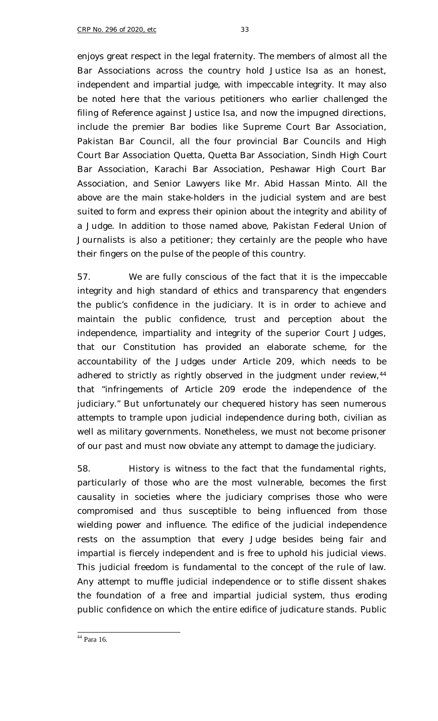enjoys great respect in the legal fraternity. The members of almost all the Bar Associations across the country hold Justice Isa as an honest, independent and impartial judge, with impeccable integrity. It may also be noted here that the various petitioners who earlier challenged the filing of Reference against Justice Isa, and now the impugned directions, include the premier Bar bodies like Supreme Court Bar Association, Pakistan Bar Council, all the four provincial Bar Councils and High Court Bar Association Quetta, Quetta Bar Association, Sindh High Court Bar Association, Karachi Bar Association, Peshawar High Court Bar Association, and Senior Lawyers like Mr. Abid Hassan Minto. All the above are the main stake-holders in the judicial system and are best suited to form and express their opinion about the integrity and ability of a Judge. In addition to those named above, Pakistan Federal Union of Journalists is also a petitioner; they certainly are the people who have their fingers on the pulse of the people of this country.

57. We are fully conscious of the fact that it is the impeccable integrity and high standard of ethics and transparency that engenders the public's confidence in the judiciary. It is in order to achieve and maintain the public confidence, trust and perception about the independence, impartiality and integrity of the superior Court Judges, that our Constitution has provided an elaborate scheme, for the accountability of the Judges under Article 209, which needs to be adhered to strictly as rightly observed in the judgment under review, 44 that "infringements of Article 209 erode the independence of the judiciary." But unfortunately our chequered history has seen numerous attempts to trample upon judicial independence during both, civilian as well as military governments. Nonetheless, we must not become prisoner of our past and must now obviate any attempt to damage the judiciary.

58. History is witness to the fact that the fundamental rights, particularly of those who are the most vulnerable, becomes the first causality in societies where the judiciary comprises those who were compromised and thus susceptible to being influenced from those wielding power and influence. The edifice of the judicial independence rests on the assumption that every Judge besides being fair and impartial is fiercely independent and is free to uphold his judicial views. This judicial freedom is fundamental to the concept of the rule of law. Any attempt to muffle judicial independence or to stifle dissent shakes the foundation of a free and impartial judicial system, thus eroding public confidence on which the entire edifice of judicature stands. Public

ł <sup>44</sup> Para 16.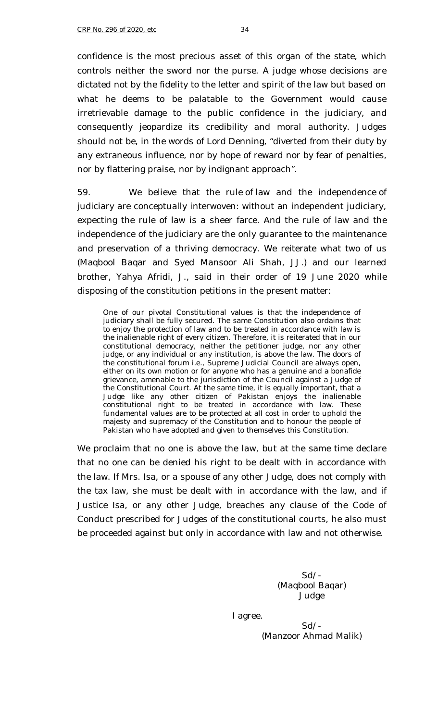confidence is the most precious asset of this organ of the state, which controls neither the sword nor the purse. A judge whose decisions are dictated not by the fidelity to the letter and spirit of the law but based on what he deems to be palatable to the Government would cause irretrievable damage to the public confidence in the judiciary, and consequently jeopardize its credibility and moral authority. Judges should not be, in the words of Lord Denning, "diverted from their duty by any extraneous influence, nor by hope of reward nor by fear of penalties, nor by flattering praise, nor by indignant approach".

59. We believe that the rule of law and the independence of judiciary are conceptually interwoven: without an independent judiciary, expecting the rule of law is a sheer farce. And the rule of law and the independence of the judiciary are the only guarantee to the maintenance and preservation of a thriving democracy. We reiterate what two of us (Maqbool Baqar and Syed Mansoor Ali Shah, JJ.) and our learned brother, Yahya Afridi, J., said in their order of 19 June 2020 while disposing of the constitution petitions in the present matter:

One of our pivotal Constitutional values is that the independence of judiciary shall be fully secured. The same Constitution also ordains that to enjoy the protection of law and to be treated in accordance with law is the inalienable right of every citizen. Therefore, it is reiterated that in our constitutional democracy, neither the petitioner judge, nor any other judge, or any individual or any institution, is above the law. The doors of the constitutional forum i.e., Supreme Judicial Council are always open, either on its own motion or for anyone who has a genuine and a bonafide grievance, amenable to the jurisdiction of the Council against a Judge of the Constitutional Court. At the same time, it is equally important, that a Judge like any other citizen of Pakistan enjoys the inalienable constitutional right to be treated in accordance with law. These fundamental values are to be protected at all cost in order to uphold the majesty and supremacy of the Constitution and to honour the people of Pakistan who have adopted and given to themselves this Constitution.

We proclaim that no one is above the law, but at the same time declare that no one can be denied his right to be dealt with in accordance with the law. If Mrs. Isa, or a spouse of any other Judge, does not comply with the tax law, she must be dealt with in accordance with the law, and if Justice Isa, or any other Judge, breaches any clause of the Code of Conduct prescribed for Judges of the constitutional courts, he also must be proceeded against but only in accordance with law and not otherwise.

> Sd/- (Maqbool Baqar) Judge

I agree.

Sd/- (Manzoor Ahmad Malik)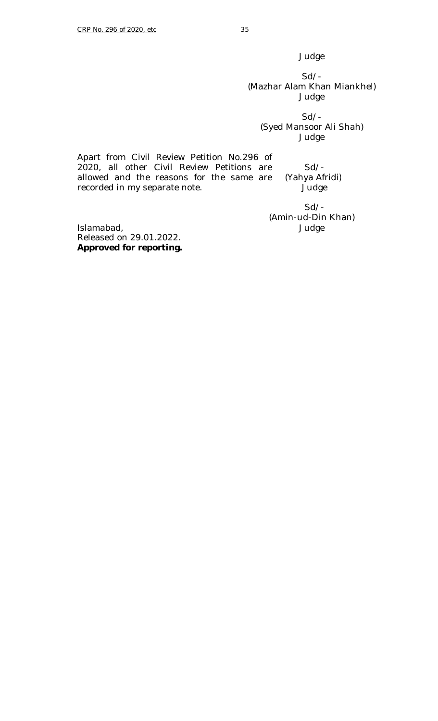Judge

Sd/- (Mazhar Alam Khan Miankhel) Judge

Sd/- (Syed Mansoor Ali Shah) Judge

Apart from Civil Review Petition No.296 of 2020, all other Civil Review Petitions are allowed and the reasons for the same are recorded in my separate note. Sd/- (Yahya Afridi) Judge

Sd/- (Amin-ud-Din Khan) Judge

Islamabad, Released on 29.01.2022. **Approved for reporting.**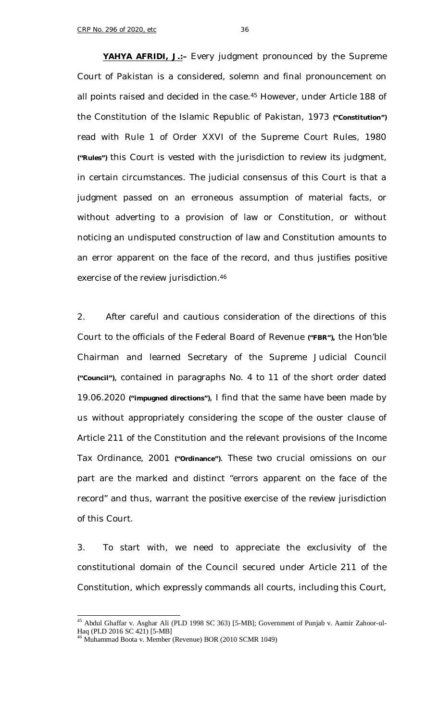**YAHYA AFRIDI, J.:–** Every judgment pronounced by the Supreme Court of Pakistan is a considered, solemn and final pronouncement on all points raised and decided in the case.<sup>45</sup> However, under Article 188 of the Constitution of the Islamic Republic of Pakistan, 1973 **("Constitution")**  read with Rule 1 of Order XXVI of the Supreme Court Rules, 1980 **("Rules")** this Court is vested with the jurisdiction to review its judgment, in certain circumstances. The judicial consensus of this Court is that a judgment passed on an erroneous assumption of material facts, or without adverting to a provision of law or Constitution, or without noticing an undisputed construction of law and Constitution amounts to an error apparent on the face of the record, and thus justifies positive exercise of the review jurisdiction.<sup>46</sup>

2. After careful and cautious consideration of the directions of this Court to the officials of the Federal Board of Revenue **("FBR"),** the Hon'ble Chairman and learned Secretary of the Supreme Judicial Council **("Council")**, contained in paragraphs No. 4 to 11 of the short order dated 19.06.2020 **("impugned directions")**, I find that the same have been made by us without appropriately considering the scope of the ouster clause of Article 211 of the Constitution and the relevant provisions of the Income Tax Ordinance, 2001 **("Ordinance")**. These two crucial omissions on our part are the marked and distinct "errors apparent on the face of the record" and thus, warrant the positive exercise of the review jurisdiction of this Court.

3. To start with, we need to appreciate the exclusivity of the constitutional domain of the Council secured under Article 211 of the Constitution, which expressly commands all courts, including this Court,

<sup>&</sup>lt;sup>45</sup> Abdul Ghaffar v. Asghar Ali (PLD 1998 SC 363) [5-MB]; Government of Punjab v. Aamir Zahoor-ul-Haq (PLD 2016 SC 421) [5-MB]

<sup>46</sup> Muhammad Boota v. Member (Revenue) BOR (2010 SCMR 1049)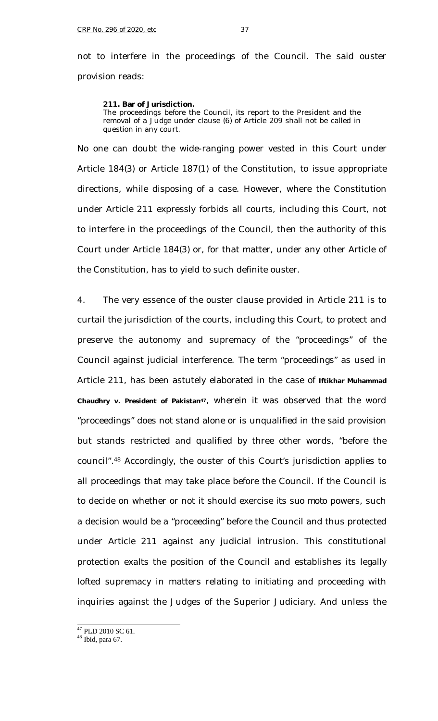not to interfere in the proceedings of the Council. The said ouster provision reads:

#### **211. Bar of Jurisdiction.**

The proceedings before the Council, its report to the President and the removal of a Judge under clause (6) of Article 209 shall not be called in question in any court.

No one can doubt the wide-ranging power vested in this Court under Article 184(3) or Article 187(1) of the Constitution, to issue appropriate directions, while disposing of a case. However, where the Constitution under Article 211 expressly forbids all courts, including this Court, not to interfere in the proceedings of the Council, then the authority of this Court under Article 184(3) or, for that matter, under any other Article of the Constitution, has to yield to such definite ouster.

4. The very essence of the ouster clause provided in Article 211 is to curtail the jurisdiction of the courts, including this Court, to protect and preserve the autonomy and supremacy of the "proceedings" of the Council against judicial interference. The term "proceedings" as used in Article 211, has been astutely elaborated in the case of **Iftikhar Muhammad Chaudhry v. President of Pakistan47**, wherein it was observed that the word "proceedings" does not stand alone or is unqualified in the said provision but stands restricted and qualified by three other words, "before the council".<sup>48</sup> Accordingly, the ouster of this Court's jurisdiction applies to all proceedings that may take place before the Council. If the Council is to decide on whether or not it should exercise its *suo moto* powers, such a decision would be a "proceeding" before the Council and thus protected under Article 211 against any judicial intrusion. This constitutional protection exalts the position of the Council and establishes its legally lofted supremacy in matters relating to initiating and proceeding with inquiries against the Judges of the Superior Judiciary. And unless the

- $47$  PLD 2010 SC 61.
- $48$  Ibid, para 67.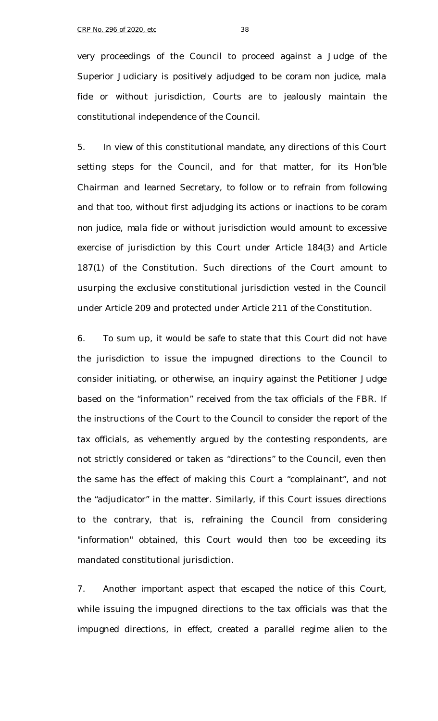very proceedings of the Council to proceed against a Judge of the Superior Judiciary is positively adjudged to be *coram non judice*, *mala fide* or without jurisdiction, Courts are to jealously maintain the constitutional independence of the Council.

5. In view of this constitutional mandate, any directions of this Court setting steps for the Council, and for that matter, for its Hon'ble Chairman and learned Secretary, to follow or to refrain from following and that too, without first adjudging its actions or inactions to be *coram non judice*, *mala fide* or without jurisdiction would amount to excessive exercise of jurisdiction by this Court under Article 184(3) and Article 187(1) of the Constitution. Such directions of the Court amount to usurping the exclusive constitutional jurisdiction vested in the Council under Article 209 and protected under Article 211 of the Constitution.

6. To sum up, it would be safe to state that this Court did not have the jurisdiction to issue the impugned directions to the Council to consider initiating, or otherwise, an inquiry against the Petitioner Judge based on the "information" received from the tax officials of the FBR. If the instructions of the Court to the Council to consider the report of the tax officials, as vehemently argued by the contesting respondents, are not strictly considered or taken as "directions" to the Council, even then the same has the effect of making this Court a "complainant", and not the "adjudicator" in the matter. Similarly, if this Court issues directions to the contrary, that is, refraining the Council from considering "information" obtained, this Court would then too be exceeding its mandated constitutional jurisdiction.

7. Another important aspect that escaped the notice of this Court, while issuing the impugned directions to the tax officials was that the impugned directions, in effect, created a parallel regime alien to the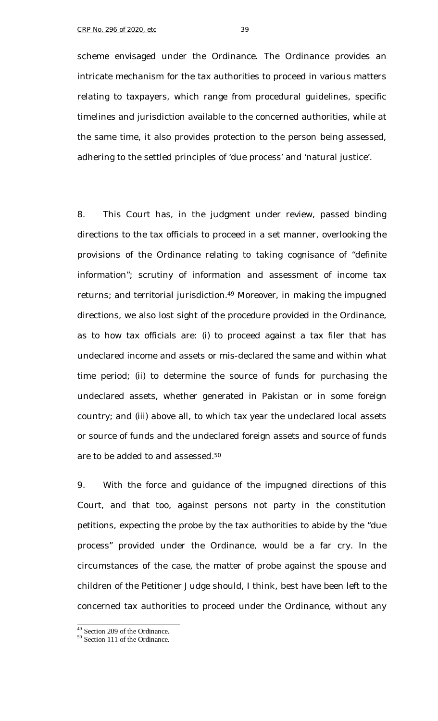scheme envisaged under the Ordinance. The Ordinance provides an intricate mechanism for the tax authorities to proceed in various matters relating to taxpayers, which range from procedural guidelines, specific timelines and jurisdiction available to the concerned authorities, while at the same time, it also provides protection to the person being assessed, adhering to the settled principles of 'due process' and 'natural justice'.

8. This Court has, in the judgment under review, passed binding directions to the tax officials to proceed in a set manner, overlooking the provisions of the Ordinance relating to taking cognisance of "definite information"; scrutiny of information and assessment of income tax returns; and territorial jurisdiction.<sup>49</sup> Moreover, in making the impugned directions, we also lost sight of the procedure provided in the Ordinance, as to how tax officials are: (i) to proceed against a tax filer that has undeclared income and assets or mis-declared the same and within what time period; (ii) to determine the source of funds for purchasing the undeclared assets, whether generated in Pakistan or in some foreign country; and (iii) above all, to which tax year the undeclared local assets or source of funds and the undeclared foreign assets and source of funds are to be added to and assessed.<sup>50</sup>

9. With the force and guidance of the impugned directions of this Court, and that too, against persons not party in the constitution petitions, expecting the probe by the tax authorities to abide by the "due process" provided under the Ordinance, would be a far cry. In the circumstances of the case, the matter of probe against the spouse and children of the Petitioner Judge should, I think, best have been left to the concerned tax authorities to proceed under the Ordinance, without any

<sup>49</sup> Section 209 of the Ordinance.

<sup>50</sup> Section 111 of the Ordinance.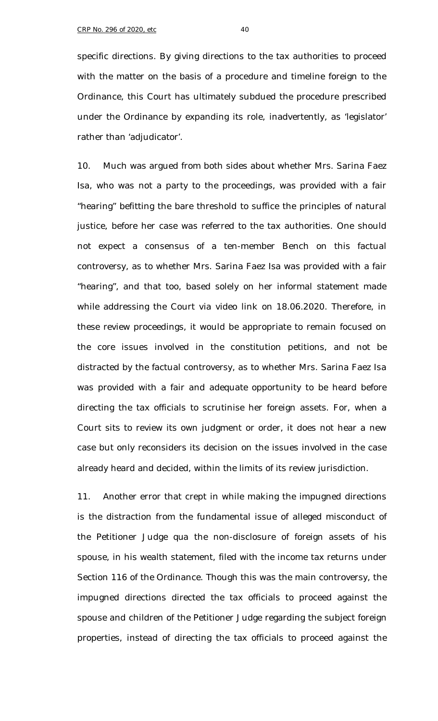specific directions. By giving directions to the tax authorities to proceed with the matter on the basis of a procedure and timeline foreign to the Ordinance, this Court has ultimately subdued the procedure prescribed under the Ordinance by expanding its role, inadvertently, as 'legislator' rather than 'adjudicator'.

10. Much was argued from both sides about whether Mrs. Sarina Faez Isa, who was not a party to the proceedings, was provided with a fair "hearing" befitting the bare threshold to suffice the principles of natural justice, before her case was referred to the tax authorities. One should not expect a consensus of a ten-member Bench on this factual controversy, as to whether Mrs. Sarina Faez Isa was provided with a fair "hearing", and that too, based solely on her informal statement made while addressing the Court *via* video link on 18.06.2020. Therefore, in these review proceedings, it would be appropriate to remain focused on the core issues involved in the constitution petitions, and not be distracted by the factual controversy, as to whether Mrs. Sarina Faez Isa was provided with a fair and adequate opportunity to be heard before directing the tax officials to scrutinise her foreign assets. For, when a Court sits to review its own judgment or order, it does not hear a new case but only reconsiders its decision on the issues involved in the case already heard and decided, within the limits of its review jurisdiction.

11. Another error that crept in while making the impugned directions is the distraction from the fundamental issue of alleged misconduct of the Petitioner Judge *qua* the non-disclosure of foreign assets of his spouse, in his wealth statement, filed with the income tax returns under Section 116 of the Ordinance. Though this was the main controversy, the impugned directions directed the tax officials to proceed against the spouse and children of the Petitioner Judge regarding the subject foreign properties, instead of directing the tax officials to proceed against the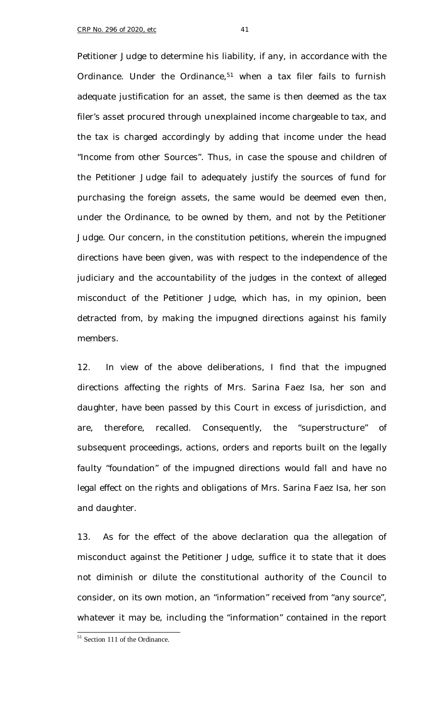Petitioner Judge to determine his liability, if any, in accordance with the Ordinance. Under the Ordinance,<sup>51</sup> when a tax filer fails to furnish adequate justification for an asset, the same is then deemed as the tax filer's asset procured through unexplained income chargeable to tax, and the tax is charged accordingly by adding that income under the head "Income from other Sources". Thus, in case the spouse and children of the Petitioner Judge fail to adequately justify the sources of fund for purchasing the foreign assets, the same would be deemed even then, under the Ordinance, to be owned by them, and not by the Petitioner Judge. Our concern, in the constitution petitions, wherein the impugned directions have been given, was with respect to the independence of the judiciary and the accountability of the judges in the context of alleged misconduct of the Petitioner Judge, which has, in my opinion, been detracted from, by making the impugned directions against his family members.

12. In view of the above deliberations, I find that the impugned directions affecting the rights of Mrs. Sarina Faez Isa, her son and daughter, have been passed by this Court in excess of jurisdiction, and are, therefore, recalled. Consequently, the "superstructure" of subsequent proceedings, actions, orders and reports built on the legally faulty "foundation" of the impugned directions would fall and have no legal effect on the rights and obligations of Mrs. Sarina Faez Isa, her son and daughter.

13. As for the effect of the above declaration *qua* the allegation of misconduct against the Petitioner Judge, suffice it to state that it does not diminish or dilute the constitutional authority of the Council to consider, on its own motion, an "information" received from "any source", whatever it may be, including the "information" contained in the report

<sup>&</sup>lt;sup>51</sup> Section 111 of the Ordinance.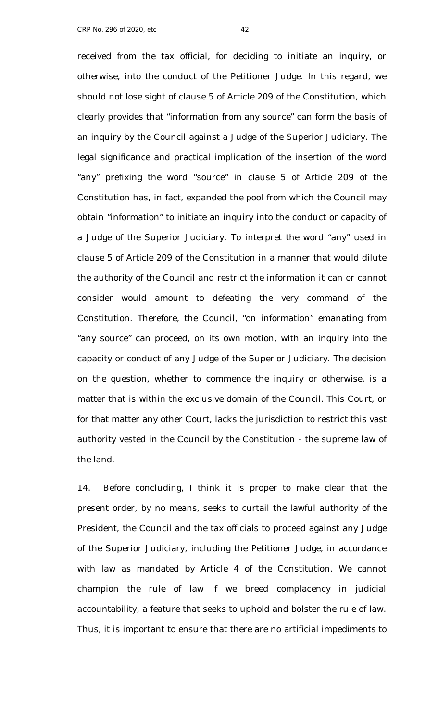received from the tax official, for deciding to initiate an inquiry, or otherwise, into the conduct of the Petitioner Judge. In this regard, we should not lose sight of clause 5 of Article 209 of the Constitution, which clearly provides that "information from any source" can form the basis of an inquiry by the Council against a Judge of the Superior Judiciary. The legal significance and practical implication of the insertion of the word "any" prefixing the word "source" in clause 5 of Article 209 of the Constitution has, in fact, expanded the pool from which the Council may obtain "information" to initiate an inquiry into the conduct or capacity of a Judge of the Superior Judiciary. To interpret the word "any" used in clause 5 of Article 209 of the Constitution in a manner that would dilute the authority of the Council and restrict the information it can or cannot consider would amount to defeating the very command of the Constitution. Therefore, the Council, "on information" emanating from "any source" can proceed, on its own motion, with an inquiry into the capacity or conduct of any Judge of the Superior Judiciary. The decision on the question, whether to commence the inquiry or otherwise, is a matter that is within the exclusive domain of the Council. This Court, or for that matter any other Court, lacks the jurisdiction to restrict this vast authority vested in the Council by the Constitution - the supreme law of the land.

14. Before concluding, I think it is proper to make clear that the present order, by no means, seeks to curtail the lawful authority of the President, the Council and the tax officials to proceed against any Judge of the Superior Judiciary, including the Petitioner Judge, in accordance with law as mandated by Article 4 of the Constitution. We cannot champion the rule of law if we breed complacency in judicial accountability, a feature that seeks to uphold and bolster the rule of law. Thus, it is important to ensure that there are no artificial impediments to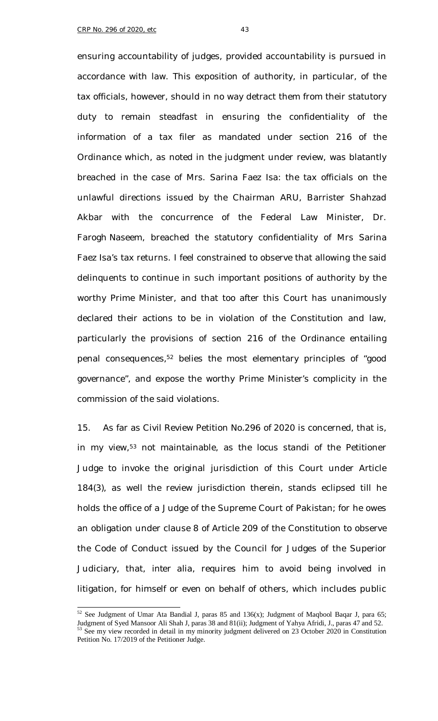ensuring accountability of judges, provided accountability is pursued in accordance with law. This exposition of authority, in particular, of the tax officials, however, should in no way detract them from their statutory duty to remain steadfast in ensuring the confidentiality of the information of a tax filer as mandated under section 216 of the Ordinance which, as noted in the judgment under review, was blatantly breached in the case of Mrs. Sarina Faez Isa: the tax officials on the unlawful directions issued by the Chairman ARU, Barrister Shahzad Akbar with the concurrence of the Federal Law Minister, Dr. Farogh Naseem, breached the statutory confidentiality of Mrs Sarina Faez Isa's tax returns. I feel constrained to observe that allowing the said delinquents to continue in such important positions of authority by the worthy Prime Minister, and that too after this Court has unanimously declared their actions to be in violation of the Constitution and law, particularly the provisions of section 216 of the Ordinance entailing penal consequences,<sup>52</sup> belies the most elementary principles of "good governance", and expose the worthy Prime Minister's complicity in the commission of the said violations.

15. As far as Civil Review Petition No.296 of 2020 is concerned, that is, in my view,<sup>53</sup> not maintainable, as the *locus standi* of the Petitioner Judge to invoke the original jurisdiction of this Court under Article 184(3), as well the review jurisdiction therein, stands eclipsed till he holds the office of a Judge of the Supreme Court of Pakistan; for he owes an obligation under clause 8 of Article 209 of the Constitution to observe the Code of Conduct issued by the Council for Judges of the Superior Judiciary, that, *inter alia*, requires him to avoid being involved in litigation, for himself or even on behalf of others, which includes public

f

 $52$  See Judgment of Umar Ata Bandial J, paras 85 and 136(x); Judgment of Maqbool Baqar J, para 65; Judgment of Syed Mansoor Ali Shah J, paras 38 and 81(ii); Judgment of Yahya Afridi, J., paras 47 and 52.<br>
<sup>53</sup> See my view recorded in data is and the set of the set of Yahya Afridi, J., paras 47 and 52. See my view recorded in detail in my minority judgment delivered on 23 October 2020 in Constitution

Petition No. 17/2019 of the Petitioner Judge.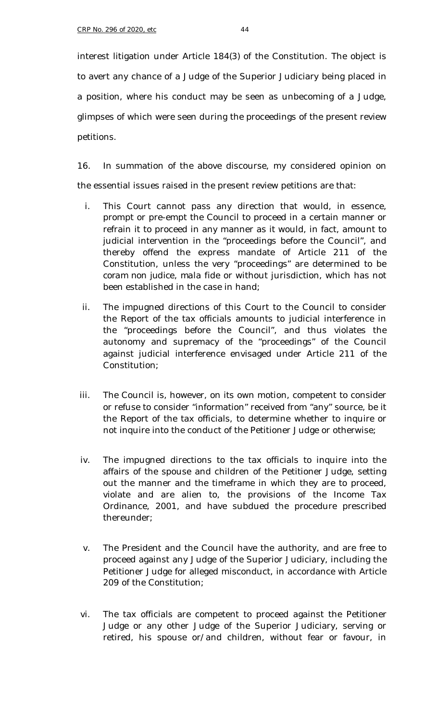interest litigation under Article 184(3) of the Constitution. The object is to avert any chance of a Judge of the Superior Judiciary being placed in a position, where his conduct may be seen as unbecoming of a Judge, glimpses of which were seen during the proceedings of the present review petitions.

16. In summation of the above discourse, my considered opinion on the essential issues raised in the present review petitions are that:

- i. This Court cannot pass any direction that would, in essence, prompt or pre-empt the Council to proceed in a certain manner or refrain it to proceed in any manner as it would, in fact, amount to judicial intervention in the "proceedings before the Council", and thereby offend the express mandate of Article 211 of the Constitution, unless the very "proceedings" are determined to be *coram non judice*, *mala fide* or without jurisdiction, which has not been established in the case in hand;
- ii. The impugned directions of this Court to the Council to consider the Report of the tax officials amounts to judicial interference in the "proceedings before the Council", and thus violates the autonomy and supremacy of the "proceedings" of the Council against judicial interference envisaged under Article 211 of the Constitution;
- iii. The Council is, however, on its own motion, competent to consider or refuse to consider "information" received from "any" source, be it the Report of the tax officials, to determine whether to inquire or not inquire into the conduct of the Petitioner Judge or otherwise;
- iv. The impugned directions to the tax officials to inquire into the affairs of the spouse and children of the Petitioner Judge, setting out the manner and the timeframe in which they are to proceed, violate and are alien to, the provisions of the Income Tax Ordinance, 2001, and have subdued the procedure prescribed thereunder;
- v. The President and the Council have the authority, and are free to proceed against any Judge of the Superior Judiciary, including the Petitioner Judge for alleged misconduct, in accordance with Article 209 of the Constitution;
- vi. The tax officials are competent to proceed against the Petitioner Judge or any other Judge of the Superior Judiciary, serving or retired, his spouse or/and children, without fear or favour, in